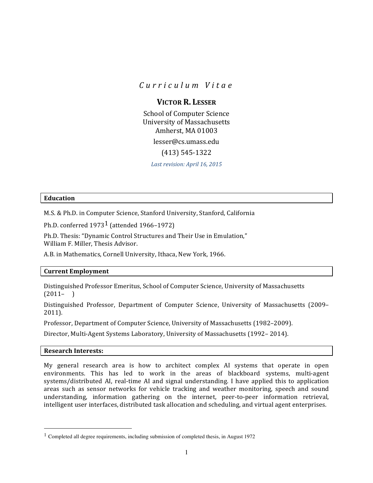# *Curriculum Vitae*

# **VICTOR R. LESSER**

School of Computer Science University of Massachusetts Amherst, MA 01003 lesser@cs.umass.edu (413) 545-1322 Last revision: April 16, 2015

### **Education**

M.S. & Ph.D. in Computer Science, Stanford University, Stanford, California

Ph.D. conferred  $1973<sup>1</sup>$  (attended 1966–1972)

Ph.D. Thesis: "Dynamic Control Structures and Their Use in Emulation," William F. Miller, Thesis Advisor.

A.B. in Mathematics, Cornell University, Ithaca, New York, 1966.

## **Current Employment**

Distinguished Professor Emeritus, School of Computer Science, University of Massachusetts  $(2011 - )$ 

Distinguished Professor, Department of Computer Science, University of Massachusetts (2009– 2011).

Professor, Department of Computer Science, University of Massachusetts (1982–2009).

Director, Multi-Agent Systems Laboratory, University of Massachusetts (1992–2014).

#### **Research Interests:**

My general research area is how to architect complex AI systems that operate in open environments. This has led to work in the areas of blackboard systems, multi-agent systems/distributed AI, real-time AI and signal understanding. I have applied this to application areas such as sensor networks for vehicle tracking and weather monitoring, speech and sound understanding, information gathering on the internet, peer-to-peer information retrieval, intelligent user interfaces, distributed task allocation and scheduling, and virtual agent enterprises.

 $<sup>1</sup>$  Completed all degree requirements, including submission of completed thesis, in August 1972</sup>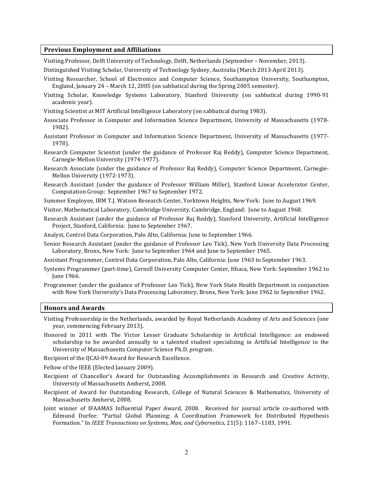#### **Previous Employment and Affiliations**

Visiting Professor, Delft University of Technology, Delft, Netherlands (September – November, 2013).

Distinguished Visiting Scholar, University of Technology Sydney, Australia (March 2013-April 2013).

- Visiting Researcher, School of Electronics and Computer Science, Southampton University, Southampton, England, January 24 - March 12, 2005 (on sabbatical during the Spring 2005 semester).
- Visiting Scholar, Knowledge Systems Laboratory, Stanford University (on sabbatical during 1990-91 academic year).
- Visiting Scientist at MIT Artificial Intelligence Laboratory (on sabbatical during 1983).
- Associate Professor in Computer and Information Science Department, University of Massachusetts (1978-1982).
- Assistant Professor in Computer and Information Science Department, University of Massachusetts (1977-1978).
- Research Computer Scientist (under the guidance of Professor Raj Reddy), Computer Science Department, Carnegie-Mellon University (1974-1977).
- Research Associate (under the guidance of Professor Raj Reddy), Computer Science Department, Carnegie-Mellon University (1972-1973).
- Research Assistant (under the guidance of Professor William Miller), Stanford Linear Accelerator Center, Computation Group: September 1967 to September 1972.
- Summer Employee, IBM T.J. Watson Research Center, Yorktown Heights, New York: June to August 1969.
- Visitor, Mathematical Laboratory, Cambridge University, Cambridge, England: June to August 1968.
- Research Assistant (under the guidance of Professor Raj Reddy), Stanford University, Artificial Intelligence Project, Stanford, California: June to September 1967.
- Analyst, Control Data Corporation, Palo Alto, California: June to September 1966.
- Senior Research Assistant (under the guidance of Professor Leo Tick), New York University Data Processing Laboratory, Bronx, New York: June to September 1964 and June to September 1965.
- Assistant Programmer, Control Data Corporation, Palo Alto, California: June 1963 to September 1963.
- Systems Programmer (part-time), Cornell University Computer Center, Ithaca, New York: September 1962 to June 1966.
- Programmer (under the guidance of Professor Leo Tick), New York State Health Department in conjunction with New York University's Data Processing Laboratory, Bronx, New York: June 1962 to September 1962.

#### **Honors and Awards**

- Visiting Professorship in the Netherlands, awarded by Royal Netherlands Academy of Arts and Sciences (one year, commencing February 2013).
- Honored in 2011 with The Victor Lesser Graduate Scholarship in Artificial Intelligence: an endowed scholarship to be awarded annually to a talented student specializing in Artificial Intelligence in the University of Massachusetts Computer Science Ph.D. program.

Recipient of the IJCAI-09 Award for Research Excellence.

Fellow of the IEEE (Elected January 2009).

- Recipient of Chancellor's Award for Outstanding Accomplishments in Research and Creative Activity, University of Massachusetts Amherst, 2008.
- Recipient of Award for Outstanding Research, College of Natural Sciences & Mathematics, University of Massachusetts Amherst, 2008.
- Joint winner of IFAAMAS Influential Paper Award, 2008. Received for journal article co-authored with Edmund Durfee: "Partial Global Planning: A Coordination Framework for Distributed Hypothesis Formation." In *IEEE Transactions on Systems, Man, and Cybernetics*, 21(5): 1167-1183, 1991.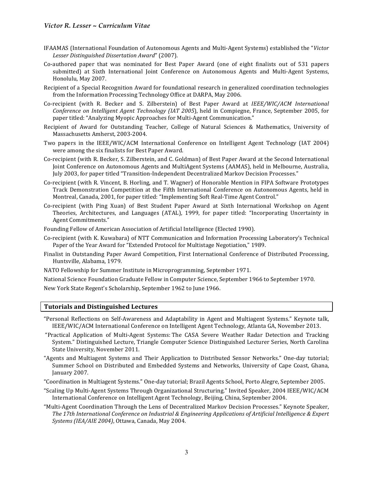- IFAAMAS (International Foundation of Autonomous Agents and Multi-Agent Systems) established the "Victor *Lesser Distinguished Dissertation Award*" (2007).
- Co-authored paper that was nominated for Best Paper Award (one of eight finalists out of 531 papers submitted) at Sixth International Joint Conference on Autonomous Agents and Multi-Agent Systems, Honolulu, May 2007.
- Recipient of a Special Recognition Award for foundational research in generalized coordination technologies from the Information Processing Technology Office at DARPA, May 2006.
- Co-recipient (with R. Becker and S. Zilberstein) of Best Paper Award at *IEEE/WIC/ACM International Conference on Intelligent Agent Technology (IAT 2005)*, held in Compiegne, France, September 2005, for paper titled: "Analyzing Myopic Approaches for Multi-Agent Communication."
- Recipient of Award for Outstanding Teacher, College of Natural Sciences & Mathematics, University of Massachusetts Amherst, 2003-2004.
- Two papers in the IEEE/WIC/ACM International Conference on Intelligent Agent Technology (IAT 2004) were among the six finalists for Best Paper Award.
- Co-recipient (with R. Becker, S. Zilberstein, and C. Goldman) of Best Paper Award at the Second International Joint Conference on Autonomous Agents and MultiAgent Systems (AAMAS), held in Melbourne, Australia, July 2003, for paper titled "Transition-Independent Decentralized Markov Decision Processes."
- Co-recipient (with R. Vincent, B. Horling, and T. Wagner) of Honorable Mention in FIPA Software Prototypes Track Demonstration Competition at the Fifth International Conference on Autonomous Agents, held in Montreal, Canada, 2001, for paper titled: "Implementing Soft Real-Time Agent Control."
- Co-recipient (with Ping Xuan) of Best Student Paper Award at Sixth International Workshop on Agent Theories, Architectures, and Languages (ATAL), 1999, for paper titled: "Incorporating Uncertainty in Agent Commitments."
- Founding Fellow of American Association of Artificial Intelligence (Elected 1990).
- Co-recipient (with K. Kuwabara) of NTT Communication and Information Processing Laboratory's Technical Paper of the Year Award for "Extended Protocol for Multistage Negotiation," 1989.
- Finalist in Outstanding Paper Award Competition, First International Conference of Distributed Processing, Huntsville, Alabama, 1979.
- NATO Fellowship for Summer Institute in Microprogramming, September 1971.

National Science Foundation Graduate Fellow in Computer Science, September 1966 to September 1970.

New York State Regent's Scholarship, September 1962 to June 1966.

#### **Tutorials and Distinguished Lectures**

- "Personal Reflections on Self-Awareness and Adaptability in Agent and Multiagent Systems." Keynote talk, IEEE/WIC/ACM International Conference on Intelligent Agent Technology, Atlanta GA, November 2013.
- "Practical Application of Multi-Agent Systems: The CASA Severe Weather Radar Detection and Tracking System." Distinguished Lecture, Triangle Computer Science Distinguished Lecturer Series, North Carolina State University, November 2011.
- "Agents and Multiagent Systems and Their Application to Distributed Sensor Networks." One-day tutorial; Summer School on Distributed and Embedded Systems and Networks, University of Cape Coast, Ghana, January 2007.
- "Coordination in Multiagent Systems." One-day tutorial; Brazil Agents School, Porto Alegre, September 2005.
- "Scaling Up Multi-Agent Systems Through Organizational Structuring." Invited Speaker, 2004 IEEE/WIC/ACM International Conference on Intelligent Agent Technology, Beijing, China, September 2004.
- "Multi-Agent Coordination Through the Lens of Decentralized Markov Decision Processes." Keynote Speaker, The 17th International Conference on Industrial & Engineering Applications of Artificial Intelligence & Expert Systems (IEA/AIE 2004), Ottawa, Canada, May 2004.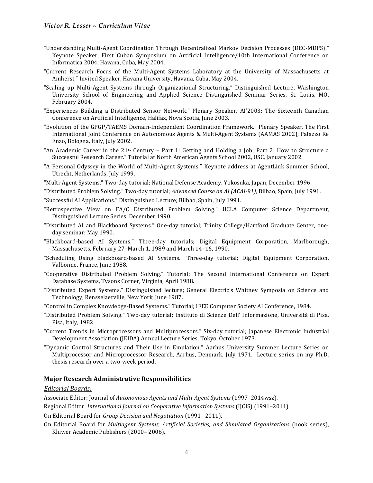- "Understanding Multi-Agent Coordination Through Decentralized Markov Decision Processes (DEC-MDPS)." Keynote Speaker, First Cuban Symposium on Artificial Intelligence/10th International Conference on Informatica 2004, Havana, Cuba, May 2004.
- "Current Research Focus of the Multi-Agent Systems Laboratory at the University of Massachusetts at Amherst." Invited Speaker, Havana University, Havana, Cuba, May 2004.
- "Scaling up Multi-Agent Systems through Organizational Structuring." Distinguished Lecture, Washington University School of Engineering and Applied Science Distinguished Seminar Series, St. Louis, MO, February 2004.
- "Experiences Building a Distributed Sensor Network." Plenary Speaker, AI'2003: The Sixteenth Canadian Conference on Artificial Intelligence, Halifax, Nova Scotia, June 2003.
- "Evolution of the GPGP/TAEMS Domain-Independent Coordination Framework." Plenary Speaker, The First International Joint Conference on Autonomous Agents & Multi-Agent Systems (AAMAS 2002), Palazzo Re Enzo, Bologna, Italy, July 2002.
- "An Academic Career in the  $21^{st}$  Century Part 1: Getting and Holding a Job; Part 2: How to Structure a Successful Research Career." Tutorial at North American Agents School 2002, USC, January 2002.
- "A Personal Odyssey in the World of Multi-Agent Systems." Keynote address at AgentLink Summer School, Utrecht, Netherlands, July 1999.
- "Multi-Agent Systems." Two-day tutorial; National Defense Academy, Yokosuka, Japan, December 1996.
- "Distributed Problem Solving." Two-day tutorial; *Advanced Course on AI (ACAI-91)*, Bilbao, Spain, July 1991.
- "Successful AI Applications." Distinguished Lecture; Bilbao, Spain, July 1991.
- "Retrospective View on FA/C Distributed Problem Solving." UCLA Computer Science Department, Distinguished Lecture Series, December 1990.
- "Distributed AI and Blackboard Systems." One-day tutorial; Trinity College/Hartford Graduate Center, oneday seminar: May 1990.
- "Blackboard-based AI Systems." Three-day tutorials; Digital Equipment Corporation, Marlborough, Massachusetts, February 27-March 1, 1989 and March 14-16, 1990.
- "Scheduling Using Blackboard-based AI Systems." Three-day tutorial; Digital Equipment Corporation, Valbonne, France, June 1988.
- "Cooperative Distributed Problem Solving." Tutorial; The Second International Conference on Expert Database Systems, Tysons Corner, Virginia, April 1988.
- "Distributed Expert Systems." Distinguished lecture; General Electric's Whitney Symposia on Science and Technology, Rensselaerville, New York, June 1987.
- "Control in Complex Knowledge-Based Systems." Tutorial; IEEE Computer Society AI Conference, 1984.
- "Distributed Problem Solving." Two-day tutorial; Instituto di Scienze Dell' Informazione, Università di Pisa, Pisa, Italy, 1982.
- "Current Trends in Microprocessors and Multiprocessors." Six-day tutorial; Japanese Electronic Industrial Development Association (JEIDA) Annual Lecture Series. Tokyo, October 1973.
- "Dynamic Control Structures and Their Use in Emulation." Aarhus University Summer Lecture Series on Multiprocessor and Microprocessor Research, Aarhus, Denmark, July 1971. Lecture series on my Ph.D. thesis research over a two-week period.

### **Major Research Administrative Responsibilities**

#### *Editorial Boards:*

Associate Editor: Journal of *Autonomous Agents and Multi-Agent Systems* (1997–2014wsz).

Regional Editor: *International Journal on Cooperative Information Systems* (IJCIS) (1991–2011).

On Editorial Board for *Group Decision and Negotiation* (1991–2011).

On Editorial Board for *Multiagent Systems, Artificial Societies, and Simulated Organizations* (book series), Kluwer Academic Publishers (2000-2006).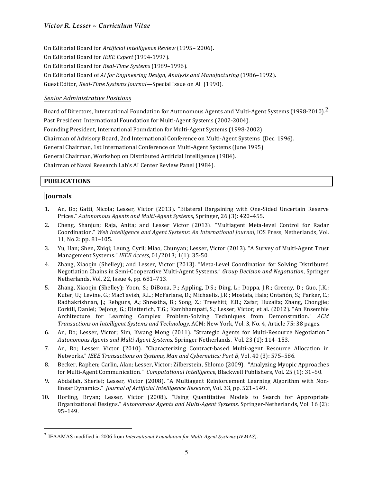On Editorial Board for *Artificial Intelligence Review* (1995–2006). On Editorial Board for *IEEE Expert* (1994-1997). On Editorial Board for *Real-Time Systems* (1989–1996). On Editorial Board of *AI* for *Engineering Design, Analysis and Manufacturing* (1986–1992). Guest Editor, *Real-Time Systems Journal*—Special Issue on AI (1990).

### *Senior Administrative Positions*

Board of Directors, International Foundation for Autonomous Agents and Multi-Agent Systems (1998-2010).<sup>2</sup> Past President, International Foundation for Multi-Agent Systems (2002-2004). Founding President, International Foundation for Multi-Agent Systems (1998-2002). Chairman of Advisory Board, 2nd International Conference on Multi-Agent Systems (Dec. 1996). General Chairman, 1st International Conference on Multi-Agent Systems (June 1995). General Chairman, Workshop on Distributed Artificial Intelligence (1984). Chairman of Naval Research Lab's AI Center Review Panel (1984).

## **PUBLICATIONS**

### *<u>Iournals</u>*

- 1. An, Bo; Gatti, Nicola; Lesser, Victor (2013). "Bilateral Bargaining with One-Sided Uncertain Reserve Prices." Autonomous Agents and Multi-Agent Systems, Springer, 26 (3): 420-455.
- 2. Cheng, Shanjun; Raja, Anita; and Lesser Victor (2013). "Multiagent Meta-level Control for Radar Coordination." Web Intelligence and Agent Systems: An International Journal, IOS Press, Netherlands, Vol. 11, No.2: pp. 81-105.
- 3. Yu, Han; Shen, Zhiqi; Leung, Cyril; Miao, Chunyan; Lesser, Victor (2013). "A Survey of Multi-Agent Trust Management Systems." *IEEE Access*, 01/2013; 1(1): 35-50.
- 4. Zhang, Xiaoqin (Shelley); and Lesser, Victor (2013). "Meta-Level Coordination for Solving Distributed Negotiation Chains in Semi-Cooperative Multi-Agent Systems." *Group Decision and Negotiation*, Springer Netherlands, Vol. 22, Issue 4, pp. 681-713.
- 5. Zhang, Xiaoqin (Shelley); Yoon, S.; DiBona, P.; Appling, D.S.; Ding, L.; Doppa, J.R.; Greeny, D.; Guo, J.K.; Kuter, U.; Levine, G.; MacTavish, R.L.; McFarlane, D.; Michaelis, J.R.; Mostafa, Hala; Ontañón, S.; Parker, C.; Radhakrishnan, J.; Rebguns, A.; Shrestha, B.; Song, Z.; Trewhitt, E.B.; Zafar, Huzaifa; Zhang, Chongjie; Corkill, Daniel; DeJong, G.; Dietterich, T.G.; Kambhampati, S.; Lesser, Victor; et al. (2012). "An Ensemble Architecture for Learning Complex Problem-Solving Techniques from Demonstration." ACM *Transactions on Intelligent Systems and Technology, ACM: New York, Vol. 3, No. 4, Article 75: 38 pages.*
- 6. An, Bo; Lesser, Victor; Sim, Kwang Mong (2011). "Strategic Agents for Multi-Resource Negotiation." Autonomous Agents and Multi-Agent Systems. Springer Netherlands. Vol. 23 (1): 114–153.
- 7. An, Bo; Lesser, Victor (2010). "Characterizing Contract-based Multi-agent Resource Allocation in Networks." *IEEE Transactions on Systems, Man and Cybernetics: Part B*, Vol. 40 (3): 575–586.
- 8. Becker, Raphen; Carlin, Alan; Lesser, Victor; Zilberstein, Shlomo (2009). "Analyzing Myopic Approaches for Multi-Agent Communication." *Computational Intelligence*, Blackwell Publishers, Vol. 25 (1): 31-50.
- 9. Abdallah, Sherief; Lesser, Victor (2008). "A Multiagent Reinforcement Learning Algorithm with Nonlinear Dynamics." *Journal of Artificial Intelligence Research*, Vol. 33, pp. 521-549.
- 10. Horling, Bryan; Lesser, Victor (2008). "Using Quantitative Models to Search for Appropriate Organizational Designs." *Autonomous Agents and Multi-Agent Systems*. Springer-Netherlands, Vol. 16 (2): 95–149.

 <sup>2</sup> IFAAMAS modified in 2006 from *International Foundation for Multi-Agent Systems (IFMAS).*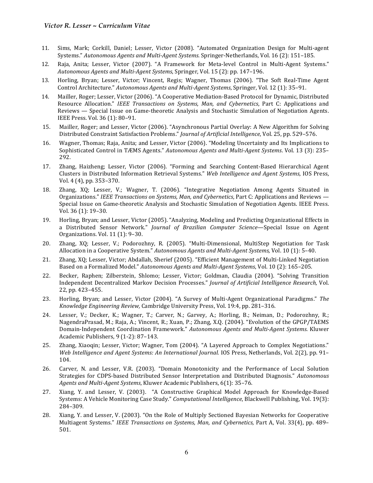- 11. Sims, Mark; Corkill, Daniel; Lesser, Victor (2008). "Automated Organization Design for Multi-agent Systems." Autonomous Agents and Multi-Agent Systems. Springer-Netherlands, Vol. 16 (2): 151-185.
- 12. Raja, Anita; Lesser, Victor (2007). "A Framework for Meta-level Control in Multi-Agent Systems." Autonomous Agents and Multi-Agent Systems, Springer, Vol. 15 (2): pp. 147-196.
- 13. Horling, Bryan; Lesser, Victor; Vincent, Regis; Wagner, Thomas (2006). "The Soft Real-Time Agent Control Architecture." Autonomous Agents and Multi-Agent Systems, Springer, Vol. 12 (1): 35-91.
- 14. Mailler, Roger; Lesser, Victor (2006). "A Cooperative Mediation-Based Protocol for Dynamic, Distributed Resource Allocation." *IEEE Transactions on Systems, Man, and Cybernetics*, Part C: Applications and Reviews — Special Issue on Game-theoretic Analysis and Stochastic Simulation of Negotiation Agents. IEEE Press. Vol. 36 (1): 80-91.
- 15. Mailler, Roger; and Lesser, Victor (2006). "Asynchronous Partial Overlay: A New Algorithm for Solving Distributed Constraint Satisfaction Problems." *Journal of Artificial Intelligence*, Vol. 25, pp. 529-576.
- 16. Wagner, Thomas; Raja, Anita; and Lesser, Victor (2006). "Modeling Uncertainty and Its Implications to Sophisticated Control in TÆMS Agents." *Autonomous Agents and Multi-Agent Systems*. Vol. 13 (3): 235– 292.
- 17. Zhang, Haizheng; Lesser, Victor (2006). "Forming and Searching Content-Based Hierarchical Agent Clusters in Distributed Information Retrieval Systems." Web Intelligence and Agent Systems, IOS Press, Vol. 4 (4), pp. 353-370.
- 18. Zhang, XQ; Lesser, V.; Wagner, T. (2006). "Integrative Negotiation Among Agents Situated in Organizations." *IEEE Transactions on Systems, Man, and Cybernetics*, Part C: Applications and Reviews — Special Issue on Game-theoretic Analysis and Stochastic Simulation of Negotiation Agents. IEEE Press. Vol. 36 (1): 19-30.
- 19. Horling, Bryan; and Lesser, Victor (2005). "Analyzing, Modeling and Predicting Organizational Effects in a Distributed Sensor Network." *Journal of Brazilian Computer Science*—Special Issue on Agent Organizations. Vol. 11 (1): 9-30.
- 20. Zhang, XQ; Lesser, V.; Podorozhny, R. (2005). "Multi-Dimensional, MultiStep Negotiation for Task Allocation in a Cooperative System." *Autonomous Agents and Multi-Agent Systems*, Vol. 10 (1): 5-40.
- 21. Zhang, XQ; Lesser, Victor; Abdallah, Sherief (2005). "Efficient Management of Multi-Linked Negotiation Based on a Formalized Model." Autonomous Agents and Multi-Agent Systems, Vol. 10 (2): 165-205.
- 22. Becker, Raphen; Zilberstein, Shlomo; Lesser, Victor; Goldman, Claudia (2004). "Solving Transition Independent Decentralized Markov Decision Processes." *Journal of Artificial Intelligence Research,* Vol. 22, pp. 423-455.
- 23. Horling, Bryan; and Lesser, Victor (2004). "A Survey of Multi-Agent Organizational Paradigms." The *Knowledge Engineering Review, Cambridge University Press, Vol. 19:4, pp. 281-316.*
- 24. Lesser, V.; Decker, K.; Wagner, T.; Carver, N.; Garvey, A.; Horling, B.; Neiman, D.; Podorozhny, R.; NagendraPrasad, M.; Raja, A.; Vincent, R.; Xuan, P.; Zhang, X.Q. (2004). "Evolution of the GPGP/TAEMS Domain-Independent Coordination Framework." Autonomous Agents and Multi-Agent Systems. Kluwer Academic Publishers, 9 (1-2): 87–143.
- 25. Zhang, Xiaoqin; Lesser, Victor; Wagner, Tom (2004). "A Layered Approach to Complex Negotiations." *Web Intelligence and Agent Systems: An International Journal.* IOS Press, Netherlands, Vol. 2(2), pp. 91– 104.
- 26. Carver, N. and Lesser, V.R. (2003). "Domain Monotonicity and the Performance of Local Solution Strategies for CDPS-based Distributed Sensor Interpretation and Distributed Diagnosis." Autonomous Agents and Multi-Agent Systems, Kluwer Academic Publishers, 6(1): 35-76.
- 27. Xiang, Y. and Lesser, V. (2003). "A Constructive Graphical Model Approach for Knowledge-Based Systems: A Vehicle Monitoring Case Study." *Computational Intelligence*, Blackwell Publishing, Vol. 19(3): 284–309.
- 28. Xiang, Y. and Lesser, V. (2003). "On the Role of Multiply Sectioned Bayesian Networks for Cooperative Multiagent Systems." *IEEE Transactions on Systems, Man, and Cybernetics, Part A, Vol.* 33(4), pp. 489– 501.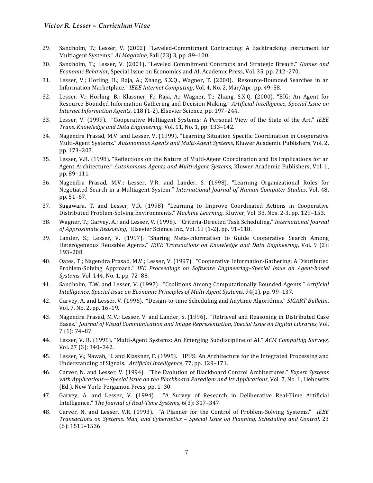- 29. Sandholm, T.; Lesser, V. (2002). "Leveled-Commitment Contracting: A Backtracking Instrument for Multiagent Systems." AI Magazine, Fall (23) 3, pp. 89-100.
- 30. Sandholm, T.; Lesser, V. (2001). "Leveled Commitment Contracts and Strategic Breach." Games and *Economic Behavior*, Special Issue on Economics and AI. Academic Press, Vol. 35, pp. 212–270.
- 31. Lesser, V.; Horling, B.; Raja, A.; Zhang, S.X.Q., Wagner, T. (2000). "Resource-Bounded Searches in an Information Marketplace." *IEEE Internet Computing*, Vol. 4, No. 2, Mar/Apr, pp. 49-58.
- 32. Lesser, V.; Horling, B.; Klassner, F.; Raja, A.; Wagner, T.; Zhang, S.X.Q. (2000). "BIG: An Agent for Resource-Bounded Information Gathering and Decision Making." Artificial Intelligence, Special Issue on *Internet Information Agents*, 118 (1-2), Elsevier Science, pp. 197-244.
- 33. Lesser, V. (1999). "Cooperative Multiagent Systems: A Personal View of the State of the Art." *IEEE Trans. Knowledge and Data Engineering*, Vol. 11, No. 1, pp. 133-142.
- 34. Nagendra Prasad, M.V. and Lesser, V. (1999). "Learning Situation Specific Coordination in Cooperative Multi-Agent Systems." *Autonomous Agents and Multi-Agent Systems*, Kluwer Academic Publishers, Vol. 2, pp. 173–207.
- 35. Lesser, V.R. (1998). "Reflections on the Nature of Multi-Agent Coordination and Its Implications for an Agent Architecture." Autonomous Agents and Multi-Agent Systems, Kluwer Academic Publishers, Vol. 1, pp. 89–111.
- 36. Nagendra Prasad, M.V.; Lesser, V.R. and Lander, S. (1998). "Learning Organizational Roles for Negotiated Search in a Multiagent System." *International Journal of Human-Computer Studies*, Vol. 48, pp. 51–67.
- 37. Sugawara, T. and Lesser, V.R. (1998). "Learning to Improve Coordinated Actions in Cooperative Distributed Problem-Solving Environments." *Machine Learning*, Kluwer, Vol. 33, Nos. 2-3, pp. 129–153.
- 38. Wagner, T.; Garvey, A.; and Lesser, V. (1998). "Criteria-Directed Task Scheduling." *International Journal of Approximate Reasoning*," Elsevier Science Inc., Vol. 19 (1-2), pp. 91-118.
- 39. Lander, S.; Lesser, V. (1997). "Sharing Meta-Information to Guide Cooperative Search Among Heterogeneous Reusable Agents." *IEEE Transactions on Knowledge and Data Engineering*, Vol. 9 (2): 193–208.
- 40. Oates, T.; Nagendra Prasad, M.V.; Lesser, V. (1997). "Cooperative Information-Gathering: A Distributed Problem-Solving Approach." *IEE Proceedings on Software Engineering–Special Issue on Agent-based Systems*, *Vol.* 144, *No.* 1, pp. 72-88.
- 41. Sandholm, T.W. and Lesser, V. (1997). "Coalitions Among Computationally Bounded Agents." Artificial *Intelligence*, *Special issue on Economic Principles of Multi-Agent System*s, 94(1), pp. 99–137.
- 42. Garvey, A. and Lesser, V. (1996). "Design-to-time Scheduling and Anytime Algorithms." *SIGART Bulletin*, Vol. 7, No. 2, pp. 16-19.
- 43. Nagendra Prasad, M.V.; Lesser, V. and Lander, S. (1996). "Retrieval and Reasoning in Distributed Case Bases." *Journal of Visual Communication and Image Representation, Special Issue on Digital Libraries*, Vol.  $7(1): 74-87.$
- 44. Lesser, V. R. (1995). "Multi-Agent Systems: An Emerging Subdiscipline of AI." *ACM Computing Surveys,* Vol. 27 (3): 340-342.
- 45. Lesser, V.; Nawab, H. and Klassner, F. (1995). "IPUS: An Architecture for the Integrated Processing and Understanding of Signals." *Artificial Intelligence*, 77, pp. 129-171.
- 46. Carver, N. and Lesser, V. (1994). "The Evolution of Blackboard Control Architectures." *Expert Systems* with Applications—Special Issue on the Blackboard Paradigm and Its Applications, Vol. 7, No. 1, Liebowitz (Ed.). New York: Pergamon Press, pp. 1-30.
- 47. Garvey, A. and Lesser, V. (1994). "A Survey of Research in Deliberative Real-Time Artificial Intelligence." The Journal of Real-Time Systems, 6(3): 317-347.
- 48. Carver, N. and Lesser, V.R. (1993). "A Planner for the Control of Problem-Solving Systems." *IEEE Transactions on Systems, Man, and Cybernetics – Special Issue on Planning, Scheduling and Control.* 23  $(6)$ : 1519–1536.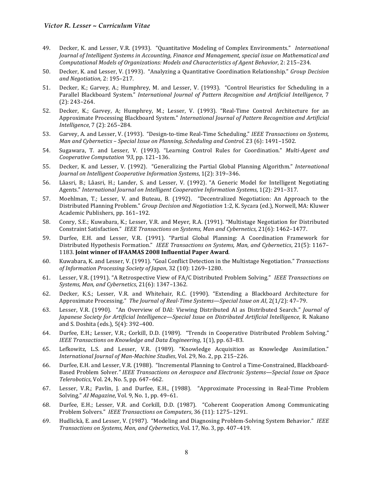- 49. Decker, K. and Lesser, V.R. (1993). "Quantitative Modeling of Complex Environments." *International Journal of Intelligent Systems in Accounting, Finance and Management, special issue on Mathematical and Computational Models of Organizations: Models and Characteristics of Agent Behavior*, 2: 215–234.
- 50. Decker, K. and Lesser, V. (1993). "Analyzing a Quantitative Coordination Relationship." *Group Decision and Negotiation,* 2: 195–217.
- 51. Decker, K.; Garvey, A.; Humphrey, M. and Lesser, V. (1993). "Control Heuristics for Scheduling in a Parallel Blackboard System." *International Journal of Pattern Recognition and Artificial Intelligence*, 7  $(2): 243 - 264.$
- 52. Decker, K.; Garvey, A; Humphrey, M.; Lesser, V. (1993). "Real-Time Control Architecture for an Approximate Processing Blackboard System." *International Journal of Pattern Recognition and Artificial Intelligence*, 7 (2): 265-284.
- 53. Garvey, A. and Lesser, V. (1993). "Design-to-time Real-Time Scheduling." IEEE Transactions on Systems, *Man and Cybernetics – Special Issue on Planning, Scheduling and Control.* 23 (6): 1491–1502.
- 54. Sugawara, T. and Lesser, V. (1993). "Learning Control Rules for Coordination." *Multi-Agent and Cooperative Computation '93*, pp. 121-136.
- 55. Decker, K. and Lesser, V. (1992). "Generalizing the Partial Global Planning Algorithm." *International Journal on Intelligent Cooperative Information Systems,* 1(2): 319-346.
- 56. Lâasri, B.; Lâasri, H.; Lander, S. and Lesser, V. (1992). "A Generic Model for Intelligent Negotiating Agents." International Journal on Intelligent Cooperative Information Systems, 1(2): 291-317.
- 57. Moehlman, T.; Lesser, V. and Buteau, B. (1992). "Decentralized Negotiation: An Approach to the Distributed Planning Problem." *Group Decision and Negotiation* 1:2, K. Sycara (ed.), Norwell, MA: Kluwer Academic Publishers, pp. 161-192.
- 58. Conry, S.E.; Kuwabara, K.; Lesser, V.R. and Meyer, R.A. (1991). "Multistage Negotiation for Distributed Constraint Satisfaction." IEEE Transactions on Systems, Man and Cybernetics, 21(6): 1462-1477.
- 59. Durfee, E.H. and Lesser, V.R. (1991). "Partial Global Planning: A Coordination Framework for Distributed Hypothesis Formation." IEEE Transactions on Systems, Man, and Cybernetics, 21(5): 1167-1183. Joint winner of IFAAMAS 2008 Influential Paper Award.
- 60. Kuwabara, K. and Lesser, V. (1991). "Goal Conflict Detection in the Multistage Negotiation." Transactions of Information Processing Society of Japan, 32 (10): 1269-1280.
- 61. Lesser, V.R. (1991). "A Retrospective View of FA/C Distributed Problem Solving." *IEEE Transactions on* Systems, Man, and Cybernetics, 21(6): 1347-1362.
- 62. Decker, K.S.; Lesser, V.R. and Whitehair, R.C. (1990). "Extending a Blackboard Architecture for Approximate Processing." The *Journal of Real-Time Systems—Special Issue on AI*, 2(1/2): 47–79.
- 63. Lesser, V.R. (1990). "An Overview of DAI: Viewing Distributed AI as Distributed Search." *Journal of Japanese Society for Artificial Intelligence—Special Issue on Distributed Artificial Intelligence*, R. Nakano and S. Doshita (eds.), 5(4): 392-400.
- 64. Durfee, E.H.; Lesser, V.R.; Corkill, D.D. (1989). "Trends in Cooperative Distributed Problem Solving." *IEEE* Transactions on *Knowledge and Data Engineering*, 1(1), pp. 63-83.
- 65. Lefkowitz, L.S. and Lesser, V.R. (1989). "Knowledge Acquisition as Knowledge Assimilation." *International Journal of Man-Machine Studies*, Vol. 29, No. 2, pp. 215–226.
- 66. Durfee, E.H. and Lesser, V.R. (1988). "Incremental Planning to Control a Time-Constrained, Blackboard-Based Problem Solver." IEEE Transactions on Aerospace and Electronic Systems—Special Issue on Space *Telerobotics*, *Vol.* 24, *No.* 5, pp. 647-662.
- 67. Lesser, V.R.; Pavlin, J. and Durfee, E.H., (1988). "Approximate Processing in Real-Time Problem Solving." *AI Magazine*, Vol. 9, No. 1, pp. 49-61.
- 68. Durfee, E.H.; Lesser, V.R. and Corkill, D.D. (1987). "Coherent Cooperation Among Communicating Problem Solvers." IEEE Transactions on Computers, 36 (11): 1275-1291.
- 69. Hudlickà, E. and Lesser, V. (1987). "Modeling and Diagnosing Problem-Solving System Behavior." *IEEE Transactions on Systems, Man, and Cybernetics, Vol.* 17, No. 3, pp. 407-419.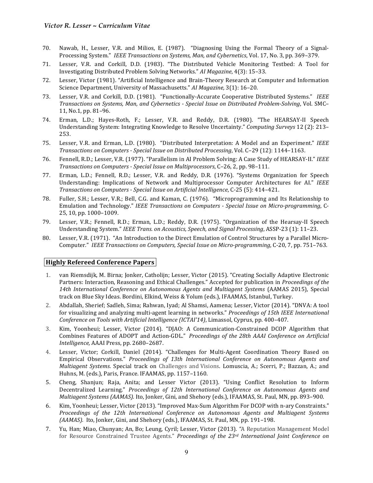- 70. Nawab, H., Lesser, V.R. and Milios, E. (1987). "Diagnosing Using the Formal Theory of a Signal-Processing System." IEEE Transactions on Systems, Man, and Cybernetics, Vol. 17, No. 3, pp. 369-379.
- 71. Lesser, V.R. and Corkill, D.D. (1983). "The Distributed Vehicle Monitoring Testbed: A Tool for Investigating Distributed Problem Solving Networks." *AI Magazine*, 4(3): 15–33.
- 72. Lesser, Victor (1981). "Artificial Intelligence and Brain-Theory Research at Computer and Information Science Department, University of Massachusetts." AI Magazine, 3(1): 16-20.
- 73. Lesser, V.R. and Corkill, D.D. (1981). "Functionally-Accurate Cooperative Distributed Systems." *IEEE Transactions on Systems, Man, and Cybernetics - Special Issue on Distributed Problem-Solving*, Vol. SMC– 11, No.1, pp. 81-96.
- 74. Erman, L.D.; Hayes-Roth, F.; Lesser, V.R. and Reddy, D.R. (1980). "The HEARSAY-II Speech Understanding System: Integrating Knowledge to Resolve Uncertainty." *Computing Surveys* 12 (2): 213– 253.
- 75. Lesser, V.R. and Erman, L.D. (1980). "Distributed Interpretation: A Model and an Experiment." *IEEE Transactions on Computers - Special Issue on Distributed Processing*, Vol. C–29 (12): 1144–1163.
- 76. Fennell, R.D.; Lesser, V.R. (1977). "Parallelism in AI Problem Solving: A Case Study of HEARSAY-II." *IEEE Transactions on Computers - Special Issue on Multiprocessors,* C-26, 2, pp. 98-111.
- 77. Erman, L.D.; Fennell, R.D.; Lesser, V.R. and Reddy, D.R. (1976). "Systems Organization for Speech Understanding: Implications of Network and Multiprocessor Computer Architectures for AI." IEEE *Transactions* on *Computers - Special Issue* on *Artificial Intelligence*, C-25 (5): 414–421.
- 78. Fuller, S.H.; Lesser, V.R.; Bell, C.G. and Kaman, C. (1976). "Microprogramming and Its Relationship to Emulation and Technology." *IEEE Transactions on Computers - Special Issue on Micro-programming*, C-25, 10, pp. 1000-1009.
- 79. Lesser, V.R.; Fennell, R.D.; Erman, L.D.; Reddy, D.R. (1975). "Organization of the Hearsay-II Speech Understanding System." *IEEE Trans. on Acoustics, Speech, and Signal Processing, ASSP-23* (1): 11-23.
- 80. Lesser, V.R. (1971). "An Introduction to the Direct Emulation of Control Structures by a Parallel Micro-Computer." IEEE Transactions on Computers, Special Issue on Micro-programming, C-20, 7, pp. 751–763.

### **Highly Refereed Conference Papers**

- 1. van Riemsdijk, M. Birna; Jonker, Catholijn; Lesser, Victor (2015). "Creating Socially Adaptive Electronic Partners: Interaction, Reasoning and Ethical Challenges." Accepted for publication in *Proceedings of the* 14th International Conference on Autonomous Agents and Multiagent Systems (AAMAS 2015), Special track on Blue Sky Ideas. Bordini, Elkind, Weiss & Yolum (eds.), IFAAMAS, Istanbul, Turkey.
- 2. Abdallah, Sherief; Sadleh, Sima; Rahwan, Iyad; Al Shamsi, Aamena; Lesser, Victor (2014). "DNVA: A tool for visualizing and analyzing multi-agent learning in networks." *Proceedings of 15th IEEE International Conference on Tools with Artificial Intelligence (ICTAI'14)*, Limassol, Cyprus, pp. 400-407.
- 3. Kim, Yoonheui; Lesser, Victor (2014). "DJAO: A Communication-Constrained DCOP Algorithm that Combines Features of ADOPT and Action-GDL." *Proceedings of the 28th AAAI Conference on Artificial Intelligence,* AAAI Press, pp. 2680-2687.
- 4. Lesser, Victor; Corkill, Daniel (2014). "Challenges for Multi-Agent Coordination Theory Based on Empirical Observations." *Proceedings of 13th International Conference on Autonomous Agents and Multiagent Systems*. Special track on Challenges and Visions. Lomuscia, A.; Scerri, P.; Bazzan, A.; and Huhns, M. (eds.), Paris, France. IFAAMAS, pp. 1157-1160.
- 5. Cheng, Shanjun; Raja, Anita; and Lesser Victor (2013). "Using Conflict Resolution to Inform Decentralized Learning." *Proceedings of 12th International Conference on Autonomous Agents and Multiagent Systems (AAMAS).* Ito, Jonker, Gini, and Shehory (eds.), IFAAMAS, St. Paul, MN, pp. 893–900.
- 6. Kim, Yoonheui; Lesser, Victor (2013). "Improved Max-Sum Algorithm For DCOP with n-ary Constraints." *Proceedings of the 12th International Conference on Autonomous Agents and Multiagent Systems (AAMAS).* Ito, Jonker, Gini, and Shehory (eds.), IFAAMAS, St. Paul, MN, pp. 191–198.
- 7. Yu, Han; Miao, Chunyan; An, Bo; Leung, Cyril; Lesser, Victor (2013). "A Reputation Management Model for Resource Constrained Trustee Agents." *Proceedings of the 23<sup>rd</sup> International Joint Conference on*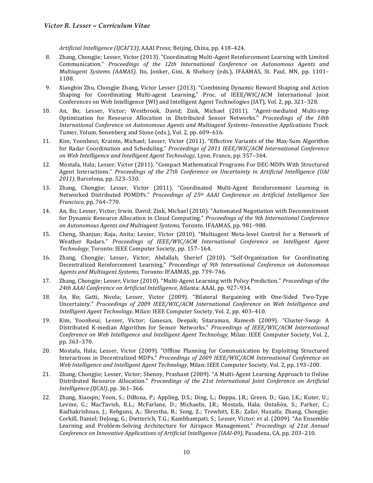*Artificial Intelligence (IJCAI'13)*, AAAI Press; Beijing, China, pp. 418-424.

- 8. Zhang, Chongjie; Lesser, Victor (2013). "Coordinating Multi-Agent Reinforcement Learning with Limited Communication." *Proceedings of the 12th International Conference on Autonomous Agents and Multiagent Systems (AAMAS).* Ito, Jonker, Gini, & Shehory (eds.), IFAAMAS, St. Paul, MN, pp. 1101– 1108.
- 9. Xiangbin Zhu, Chongjie Zhang, Victor Lesser (2013). "Combining Dynamic Reward Shaping and Action Shaping for Coordinating Multi-agent Learning," Proc. of IEEE/WIC/ACM International Joint Conferences on Web Intelligence (WI) and Intelligent Agent Technologies (IAT), Vol. 2, pp. 321–328.
- 10. An, Bo; Lesser, Victor; Westbrook, David; Zink, Michael (2011). "Agent-mediated Multi-step Optimization for Resource Allocation in Distributed Sensor Networks." Proceedings of the 10th *International Conference on Autonomous Agents and Multiagent Systems–Innovative Applications Track.* Tumer, Yolum, Sonenberg and Stone (eds.), Vol. 2, pp. 609-616.
- 11. Kim, Yoonheui; Krainin, Michael; Lesser, Victor (2011). "Effective Variants of the Max-Sum Algorithm for Radar Coordination and Scheduling." Proceedings of 2011 IEEE/WIC/ACM International Conference on Web Intelligence and Intelligent Agent Technology, Lyon, France, pp. 357-364.
- 12. Mostafa, Hala; Lesser, Victor (2011). "Compact Mathematical Programs For DEC-MDPs With Structured Agent Interactions." *Proceedings of the 27th Conference on Uncertainty in Artificial Intelligence (UAI* 2011), Barcelona, pp. 523-530.
- 13. Zhang, Chongjie; Lesser, Victor (2011). "Coordinated Multi-Agent Reinforcement Learning in Networked Distributed POMDPs." Proceedings of 25th AAAI Conference on Artificial Intelligence San *Francisco*, pp. 764–770.
- 14. An, Bo; Lesser, Victor; Irwin, David; Zink, Michael (2010). "Automated Negotiation with Decommitment for Dynamic Resource Allocation in Cloud Computing." *Proceedings of the 9th International Conference* on Autonomous Agents and Multiagent Systems, Toronto. IFAAMAS, pp. 981-988.
- 15. Cheng, Shanjun; Raja, Anita; Lesser, Victor (2010). "Multiagent Meta-level Control for a Network of Weather Radars." Proceedings of IEEE/WIC/ACM International Conference on Intelligent Agent Technology, Toronto: IEEE Computer Society, pp. 157-164.
- 16. Zhang, Chongjie; Lesser, Victor; Abdallah, Sherief (2010). "Self-Organization for Coordinating Decentralized Reinforcement Learning." *Proceedings of 9th International Conference on Autonomous* Agents and Multiagent Systems, Toronto: IFAAMAS, pp. 739-746.
- 17. Zhang, Chongjie; Lesser, Victor (2010). "Multi-Agent Learning with Policy Prediction." *Proceedings of the 24th AAAI Conference on Artificial Intelligence*, Atlanta: AAAI, pp. 927–934.
- 18. An, Bo; Gatti, Nicola; Lesser, Victor (2009). "Bilateral Bargaining with One-Sided Two-Type Uncertainty." Proceedings of 2009 IEEE/WIC/ACM International Conference on Web Intelligence and *Intelligent Agent Technology*, Milan: IEEE Computer Society, Vol. 2, pp. 403-410.
- 19. Kim, Yoonheui; Lesser, Victor; Ganesan, Deepak; Sitaraman, Ramesh (2009). "Cluster-Swap: A Distributed K-median Algorithm for Sensor Networks." *Proceedings of IEEE/WIC/ACM International Conference on Web Intelligence and Intelligent Agent Technology*, Milan: IEEE Computer Society, Vol. 2, pp. 363–370.
- 20. Mostafa, Hala; Lesser, Victor (2009). "Offline Planning for Communication by Exploiting Structured Interactions in Decentralized MDPs." Proceedings of 2009 IEEE/WIC/ACM International Conference on Web Intelligence and Intelligent Agent Technology, Milan: IEEE Computer Society, Vol. 2, pp. 193-200.
- 21. Zhang, Chongjie; Lesser, Victor; Shenoy, Prashant (2009). "A Multi-Agent Learning Approach to Online Distributed Resource Allocation." *Proceedings of the 21st International Joint Conference on Artificial Intelligence (IJCAI)*, pp. 361-366.
- 22. Zhang, Xiaoqin; Yoon, S.; DiBona, P.; Appling, D.S.; Ding, L.; Doppa, J.R.; Green, D.; Guo, J.K.; Kuter, U.; Levine, G.; MacTavish, R.L.; McFarlane, D.; Michaelis, J.R.; Mostafa, Hala; Ontañón, S.; Parker, C.; Radhakrishnan, J.; Rebguns, A.; Shrestha, B.; Song, Z.; Trewhitt, E.B.; Zafar, Huzaifa; Zhang, Chongjie; Corkill, Daniel; DeJong, G.; Dietterich, T.G.; Kambhampati, S.; Lesser, Victor; et al. (2009). "An Ensemble Learning and Problem-Solving Architecture for Airspace Management." *Proceedings of 21st Annual Conference on Innovative Applications of Artificial Intelligence (IAAI-09)*, Pasadena, CA, pp. 203-210.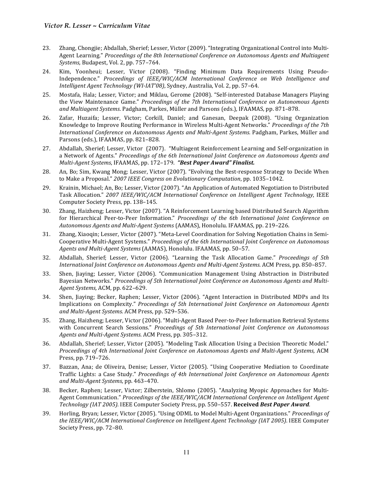- 23. Zhang, Chongjie; Abdallah, Sherief; Lesser, Victor (2009). "Integrating Organizational Control into Multi-Agent Learning." Proceedings of the 8th International Conference on Autonomous Agents and Multiagent *Systems*, Budapest, Vol. 2, pp. 757-764.
- 24. Kim, Yoonheui; Lesser, Victor (2008). "Finding Minimum Data Requirements Using Pseudo-Independence." Proceedings of IEEE/WIC/ACM International Conference on Web Intelligence and *Intelligent Agent Technology (WI-IAT'08)*, Sydney, Australia, Vol. 2, pp. 57–64.
- 25. Mostafa, Hala; Lesser, Victor; and Miklau, Gerome (2008). "Self-interested Database Managers Playing the View Maintenance Game." Proceedings of the 7th International Conference on Autonomous Agents and Multiagent Systems. Padgham, Parkes, Müller and Parsons (eds.), IFAAMAS, pp. 871-878.
- 26. Zafar, Huzaifa; Lesser, Victor; Corkill, Daniel; and Ganesan, Deepak (2008). "Using Organization Knowledge to Improve Routing Performance in Wireless Multi-Agent Networks." *Proceedings of the 7th International Conference on Autonomous Agents and Multi-Agent Systems. Padgham, Parkes, Müller and* Parsons (eds.), IFAAMAS, pp. 821-828.
- 27. Abdallah, Sherief; Lesser, Victor (2007). "Multiagent Reinforcement Learning and Self-organization in a Network of Agents." *Proceedings of the 6th International Joint Conference on Autonomous Agents and Multi-Agent Systems, IFAAMAS, pp. 172-179.* "Best Paper Award" Finalist.
- 28. An, Bo; Sim, Kwang Mong; Lesser, Victor (2007). "Evolving the Best-response Strategy to Decide When to Make a Proposal." *2007 IEEE Congress on Evolutionary Computation*, pp. 1035–1042.
- 29. Krainin, Michael; An, Bo; Lesser, Victor (2007). "An Application of Automated Negotiation to Distributed Task Allocation." *2007 IEEE/WIC/ACM International Conference on Intelligent Agent Technology*, IEEE Computer Society Press, pp. 138-145.
- 30. Zhang, Haizheng; Lesser, Victor (2007). "A Reinforcement Learning based Distributed Search Algorithm for Hierarchical Peer-to-Peer Information." *Proceedings of the 6th International Joint Conference on Autonomous Agents and Multi-Agent Systems* (AAMAS), Honolulu. IFAAMAS, pp. 219–226.
- 31. Zhang, Xiaoqin; Lesser, Victor (2007). "Meta-Level Coordination for Solving Negotiation Chains in Semi-Cooperative Multi-Agent Systems." *Proceedings of the 6th International Joint Conference on Autonomous* Agents and Multi-Agent Systems (AAMAS), Honolulu. IFAAMAS, pp. 50-57.
- 32. Abdallah, Sherief; Lesser, Victor (2006). "Learning the Task Allocation Game." Proceedings of 5th *International Joint Conference on Autonomous Agents and Multi-Agent Systems.* ACM Press, pp. 850-857.
- 33. Shen, Jiaying; Lesser, Victor (2006). "Communication Management Using Abstraction in Distributed Bayesian Networks." Proceedings of 5th International Joint Conference on Autonomous Agents and Multi-*Agent Systems,* ACM, pp. 622–629.
- 34. Shen, Jiaying; Becker, Raphen; Lesser, Victor (2006). "Agent Interaction in Distributed MDPs and Its Implications on Complexity." *Proceedings of 5th International Joint Conference on Autonomous Agents* and Multi-Agent Systems. ACM Press, pp. 529-536.
- 35. Zhang, Haizheng; Lesser, Victor (2006). "Multi-Agent Based Peer-to-Peer Information Retrieval Systems with Concurrent Search Sessions." Proceedings of 5th International Joint Conference on Autonomous Agents and Multi-Agent Systems. ACM Press, pp. 305-312.
- 36. Abdallah, Sherief; Lesser, Victor (2005). "Modeling Task Allocation Using a Decision Theoretic Model." *Proceedings of 4th International Joint Conference on Autonomous Agents and Multi-Agent Systems,* ACM Press, pp. 719–726.
- 37. Bazzan, Ana; de Oliveira, Denise; Lesser, Victor (2005). "Using Cooperative Mediation to Coordinate Traffic Lights: a Case Study." *Proceedings of 4th International Joint Conference on Autonomous Agents and Multi-Agent Systems,* pp. 463–470.
- 38. Becker, Raphen; Lesser, Victor; Zilberstein, Shlomo (2005). "Analyzing Myopic Approaches for Multi-Agent Communication." Proceedings of the IEEE/WIC/ACM International Conference on Intelligent Agent *Technology (IAT 2005)*. IEEE Computer Society Press, pp. 550–557. **Received** *Best Paper Award.*
- 39. Horling, Bryan; Lesser, Victor (2005). "Using ODML to Model Multi-Agent Organizations." *Proceedings of the IEEE/WIC/ACM International Conference on Intelligent Agent Technology (IAT 2005)*. IEEE Computer Society Press, pp. 72–80.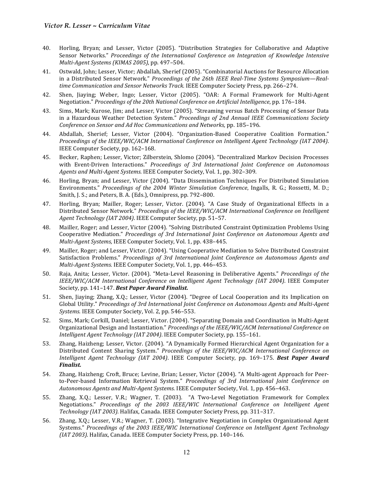- 40. Horling, Bryan; and Lesser, Victor (2005). "Distribution Strategies for Collaborative and Adaptive Sensor Networks." *Proceedings of the International Conference on Integration of Knowledge Intensive Multi-Agent Systems (KIMAS 2005)*, pp. 497-504.
- 41. Ostwald, John; Lesser, Victor; Abdallah, Sherief (2005). "Combinatorial Auctions for Resource Allocation in a Distributed Sensor Network." *Proceedings of the 26th IEEE Real-Time Systems Symposium—Real*time Communication and Sensor Networks Track. IEEE Computer Society Press, pp. 266-274.
- 42. Shen, Jiaving; Weber, Ingo; Lesser, Victor (2005). "OAR: A Formal Framework for Multi-Agent Negotiation." *Proceedings of the 20th National Conference on Artificial Intelligence*, pp. 176–184.
- 43. Sims, Mark; Kurose, Jim; and Lesser, Victor (2005). "Streaming versus Batch Processing of Sensor Data in a Hazardous Weather Detection System." *Proceedings of 2nd Annual IEEE Communications Society Conference on Sensor and Ad Hoc Communications and Networks, pp.* 185-196.
- 44. Abdallah, Sherief; Lesser, Victor (2004). "Organization-Based Cooperative Coalition Formation." Proceedings of the IEEE/WIC/ACM International Conference on Intelligent Agent Technology (IAT 2004). IEEE Computer Society, pp. 162-168.
- 45. Becker, Raphen; Lesser, Victor; Zilberstein, Shlomo (2004). "Decentralized Markov Decision Processes with Event-Driven Interactions." *Proceedings of 3rd International Joint Conference on Autonomous* Agents and Multi-Agent Systems. IEEE Computer Society, Vol. 1, pp. 302-309.
- 46. Horling, Bryan; and Lesser, Victor (2004). "Data Dissemination Techniques For Distributed Simulation Environments." Proceedings of the 2004 Winter Simulation Conference, Ingalls, R. G.; Rossetti, M. D.; Smith, J. S.; and Peters, B. A. (Eds.), Omnipress, pp. 792-800.
- 47. Horling, Bryan; Mailler, Roger; Lesser, Victor. (2004). "A Case Study of Organizational Effects in a Distributed Sensor Network." Proceedings of the IEEE/WIC/ACM International Conference on Intelligent Agent Technology (IAT 2004). IEEE Computer Society, pp. 51-57.
- 48. Mailler, Roger; and Lesser, Victor (2004). "Solving Distributed Constraint Optimization Problems Using Cooperative Mediation." *Proceedings of 3rd International Joint Conference on Autonomous Agents and Multi-Agent Systems, IEEE Computer Society, Vol. 1, pp. 438-445.*
- 49. Mailler, Roger; and Lesser, Victor. (2004). "Using Cooperative Mediation to Solve Distributed Constraint Satisfaction Problems." *Proceedings of 3rd International Joint Conference on Autonomous Agents and Multi-Agent Systems.* IEEE Computer Society, Vol. 1, pp. 446-453.
- 50. Raja, Anita; Lesser, Victor. (2004). "Meta-Level Reasoning in Deliberative Agents." *Proceedings of the IEEE/WIC/ACM International Conference on Intelligent Agent Technology (IAT 2004)*. IEEE Computer Society, pp. 141-147. Best Paper Award Finalist.
- 51. Shen, Jiaying; Zhang, X.Q.; Lesser, Victor (2004). "Degree of Local Cooperation and its Implication on Global Utility." *Proceedings of 3rd International Joint Conference on Autonomous Agents and Multi-Agent Systems.* IEEE Computer Society, Vol. 2, pp. 546-553.
- 52. Sims, Mark; Corkill, Daniel; Lesser, Victor. (2004). "Separating Domain and Coordination in Multi-Agent Organizational Design and Instantiation." *Proceedings of the IEEE/WIC/ACM International Conference on Intelligent Agent Technology (IAT 2004)*. IEEE Computer Society, pp. 155-161.
- 53. Zhang, Haizheng; Lesser, Victor. (2004). "A Dynamically Formed Hierarchical Agent Organization for a Distributed Content Sharing System." *Proceedings of the IEEE/WIC/ACM International Conference on Intelligent Agent Technology (IAT 2004)*. IEEE Computer Society, pp. 169–175. Best Paper Award *Finalist.*
- 54. Zhang, Haizheng; Croft, Bruce; Levine, Brian; Lesser, Victor (2004). "A Multi-agent Approach for Peerto-Peer-based Information Retrieval System." Proceedings of 3rd International Joint Conference on *Autonomous Agents and Multi-Agent Systems.* IEEE Computer Society, Vol. 1, pp. 456–463.
- 55. Zhang, X.Q.; Lesser, V.R.; Wagner, T. (2003). "A Two-Level Negotiation Framework for Complex Negotiations." Proceedings of the 2003 IEEE/WIC International Conference on Intelligent Agent *Technology (IAT 2003)*. Halifax, Canada. IEEE Computer Society Press, pp. 311–317.
- 56. Zhang, X.Q.; Lesser, V.R.; Wagner, T. (2003). "Integrative Negotiation in Complex Organizational Agent Systems." Proceedings of the 2003 IEEE/WIC International Conference on Intelligent Agent Technology *(IAT 2003)*. Halifax, Canada. IEEE Computer Society Press, pp. 140-146.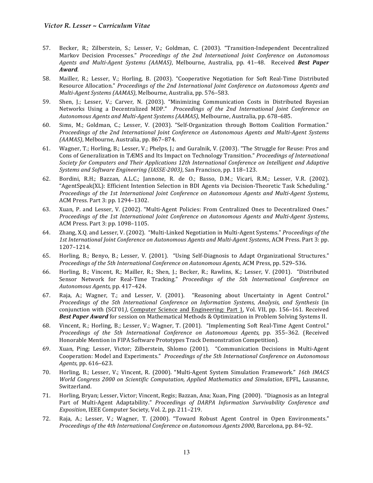- 57. Becker, R.; Zilberstein, S.; Lesser, V.; Goldman, C. (2003). "Transition-Independent Decentralized Markov Decision Processes." Proceedings of the 2nd International Joint Conference on Autonomous *Agents and Multi-Agent Systems (AAMAS)*, Melbourne, Australia, pp. 41–48. Received *Best Paper Award.*
- 58. Mailler, R.; Lesser, V.; Horling, B. (2003). "Cooperative Negotiation for Soft Real-Time Distributed Resource Allocation." *Proceedings of the 2nd International Joint Conference on Autonomous Agents and Multi-Agent Systems (AAMAS)*, Melbourne, Australia, pp. 576–583.
- 59. Shen, J.; Lesser, V.; Carver, N. (2003). "Minimizing Communication Costs in Distributed Bayesian Networks Using a Decentralized MDP." Proceedings of the 2nd International Joint Conference on *Autonomous Agents and Multi-Agent Systems (AAMAS)*, Melbourne, Australia, pp. 678–685.
- 60. Sims, M.; Goldman, C.; Lesser, V. (2003). "Self-Organization through Bottom Coalition Formation." *Proceedings of the 2nd International Joint Conference on Autonomous Agents and Multi-Agent Systems (AAMAS)*, Melbourne, Australia, pp. 867-874.
- 61. Wagner, T.; Horling, B.; Lesser, V.; Phelps, J.; and Guralnik, V. (2003). "The Struggle for Reuse: Pros and Cons of Generalization in TÆMS and Its Impact on Technology Transition." *Proceedings of International* Society for Computers and Their Applications 12th International Conference on Intelligent and Adaptive *Systems and Software Engineering (IASSE-2003)*, San Francisco, pp. 118–123.
- 62. Bordini, R.H.; Bazzan, A.L.C.; Jannone, R. de O.; Basso, D.M.; Vicari, R.M.; Lesser, V.R. (2002). "AgentSpeak(XL): Efficient Intention Selection in BDI Agents via Decision-Theoretic Task Scheduling." *Proceedings of the 1st International Joint Conference on Autonomous Agents and Multi-Agent Systems,* ACM Press. Part 3: pp. 1294-1302.
- 63. Xuan, P. and Lesser, V. (2002). "Multi-Agent Policies: From Centralized Ones to Decentralized Ones." *Proceedings of the 1st International Joint Conference on Autonomous Agents and Multi-Agent Systems,* ACM Press. Part 3: pp. 1098-1105.
- 64. Zhang, X.Q. and Lesser, V. (2002). "Multi-Linked Negotiation in Multi-Agent Systems." *Proceedings of the* 1st International Joint Conference on Autonomous Agents and Multi-Agent Systems, ACM Press. Part 3: pp. 1207–1214.
- 65. Horling, B.; Benyo, B.; Lesser, V. (2001). "Using Self-Diagnosis to Adapt Organizational Structures." *Proceedings of the 5th International Conference on Autonomous Agents, ACM Press, pp.* 529–536.
- 66. Horling, B.; Vincent, R.; Mailler, R.; Shen, J.; Becker, R.; Rawlins, K.; Lesser, V. (2001). "Distributed Sensor Network for Real-Time Tracking." *Proceedings of the 5th International Conference on Autonomous Agents,* pp. 417–424.
- 67. Raja, A.; Wagner, T.; and Lesser, V. (2001). "Reasoning about Uncertainty in Agent Control." *Proceedings of the 5th International Conference on Information Systems, Analysis, and Synthesis* (in conjunction with (SCI'01), Computer Science and Engineering: Part 1, Vol. VII, pp. 156–161. Received **Best Paper Award** for session on Mathematical Methods & Optimization in Problem Solving Systems II.
- 68. Vincent, R.; Horling, B.; Lesser, V.; Wagner, T. (2001). "Implementing Soft Real-Time Agent Control." *Proceedings of the 5th International Conference on Autonomous Agents,* pp. 355–362. (Received Honorable Mention in FIPA Software Prototypes Track Demonstration Competition).
- 69. Xuan, Ping; Lesser, Victor; Zilberstein, Shlomo (2001). "Communication Decisions in Multi-Agent Cooperation: Model and Experiments." *Proceedings of the 5th International Conference on Autonomous Agents,* pp. 616–623.
- 70. Horling, B.; Lesser, V.; Vincent, R. (2000). "Multi-Agent System Simulation Framework." 16th IMACS *World Congress 2000 on Scientific Computation, Applied Mathematics and Simulation*, EPFL, Lausanne, Switzerland.
- 71. Horling, Bryan; Lesser, Victor; Vincent, Regis; Bazzan, Ana; Xuan, Ping (2000). "Diagnosis as an Integral Part of Multi-Agent Adaptability." Proceedings of DARPA Information Survivability Conference and *Exposition*, IEEE Computer Society, Vol. 2, pp. 211–219.
- 72. Raja, A.; Lesser, V.; Wagner, T. (2000). "Toward Robust Agent Control in Open Environments." *Proceedings of the 4th International Conference on Autonomous Agents 2000, Barcelona, pp.* 84-92.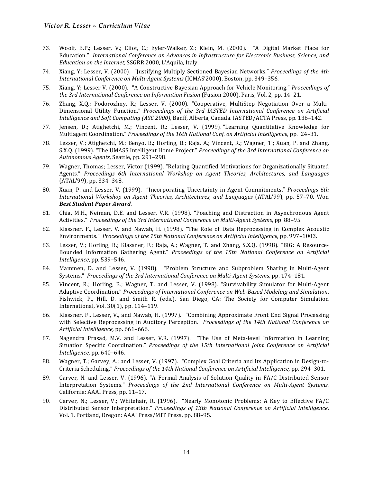- 73. Woolf, B.P.; Lesser, V.; Eliot, C.; Eyler-Walker, Z.; Klein, M. (2000). "A Digital Market Place for Education." International Conference on Advances in Infrastructure for Electronic Business, Science, and *Education on the Internet*, SSGRR 2000, L'Aquila, Italy.
- 74. Xiang, Y; Lesser, V. (2000). "Justifying Multiply Sectioned Bayesian Networks." *Proceedings of the 4th International Conference on Multi-Agent Systems* (ICMAS'2000), Boston, pp. 349–356.
- 75. Xiang, Y; Lesser V. (2000). "A Constructive Bayesian Approach for Vehicle Monitoring." Proceedings of *the 3rd International Conference on Information Fusion* (Fusion 2000), Paris, Vol. 2, pp. 14–21.
- 76. Zhang, X.Q.; Podorozhny, R.; Lesser, V. (2000). "Cooperative, MultiStep Negotiation Over a Multi-Dimensional Utility Function." *Proceedings of the 3rd IASTED International Conference on Artificial Intelligence and Soft Computing (ASC'2000),* Banff, Alberta, Canada. IASTED/ACTA Press, pp. 136-142.
- 77. Jensen, D.; Atighetchi, M.; Vincent, R.; Lesser, V. (1999). "Learning Quantitative Knowledge for Multiagent Coordination." Proceedings of the 16th National Conf. on Artificial Intelligence, pp. 24-31.
- 78. Lesser, V.; Atighetchi, M.; Benyo, B.; Horling, B.; Raja, A.; Vincent, R.; Wagner, T.; Xuan, P. and Zhang, S.X.Q. (1999). "The UMASS Intelligent Home Project." *Proceedings of the 3rd International Conference on* Autonomous Agents, Seattle, pp. 291-298.
- 79. Wagner, Thomas; Lesser, Victor (1999). "Relating Quantified Motivations for Organizationally Situated Agents." *Proceedings 6th International Workshop on Agent Theories, Architectures, and Languages* (ATAL'99), pp. 334-348.
- 80. Xuan, P. and Lesser, V. (1999). "Incorporating Uncertainty in Agent Commitments." *Proceedings 6th International Workshop on Agent Theories, Architectures, and Languages* (ATAL'99), pp. 57–70. Won *Best Student Paper Award*.
- 81. Chia, M.H., Neiman, D.E. and Lesser, V.R. (1998). "Poaching and Distraction in Asynchronous Agent Activities." *Proceedings of the 3rd International Conference on Multi-Agent Systems*, pp. 88–95.
- 82. Klassner, F., Lesser, V. and Nawab, H. (1998). "The Role of Data Reprocessing in Complex Acoustic Environments." *Proceedings of the 15th National Conference on Artificial Intelligence*, pp. 997-1003.
- 83. Lesser, V.; Horling, B.; Klassner, F.; Raja, A.; Wagner, T. and Zhang, S.X.O. (1998). "BIG: A Resource-Bounded Information Gathering Agent." *Proceedings of the 15th National Conference on Artificial Intelligence*, pp. 539-546.
- 84. Mammen, D. and Lesser, V. (1998). "Problem Structure and Subproblem Sharing in Multi-Agent Systems." Proceedings of the 3rd International Conference on Multi-Agent Systems, pp. 174–181.
- 85. Vincent, R.; Horling, B.; Wagner, T. and Lesser, V. (1998). "Survivability Simulator for Multi-Agent Adaptive Coordination." *Proceedings of International Conference on Web-Based Modeling and Simulation*, Fishwick, P., Hill, D. and Smith R. (eds.). San Diego, CA: The Society for Computer Simulation International, Vol. 30(1), pp. 114-119.
- 86. Klassner, F., Lesser, V., and Nawab, H. (1997). "Combining Approximate Front End Signal Processing with Selective Reprocessing in Auditory Perception." *Proceedings of the 14th National Conference on Artificial Intelligence,* pp. 661–666.
- 87. Nagendra Prasad, M.V. and Lesser, V.R. (1997). "The Use of Meta-level Information in Learning Situation Specific Coordination." Proceedings of the 15th International Joint Conference on Artificial *Intelligence*, pp. 640-646.
- 88. Wagner, T.; Garvey, A.; and Lesser, V. (1997). "Complex Goal Criteria and Its Application in Design-to-Criteria Scheduling." *Proceedings of the 14th National Conference on Artificial Intelligence*, pp. 294–301.
- 89. Carver, N. and Lesser, V. (1996). "A Formal Analysis of Solution Quality in FA/C Distributed Sensor Interpretation Systems." *Proceedings of the 2nd International Conference on Multi-Agent Systems.* California: AAAI Press, pp. 11-17.
- 90. Carver, N.; Lesser, V.; Whitehair, R. (1996). "Nearly Monotonic Problems: A Key to Effective FA/C Distributed Sensor Interpretation." *Proceedings of 13th National Conference on Artificial Intelligence*, Vol. 1. Portland, Oregon: AAAI Press/MIT Press, pp. 88-95.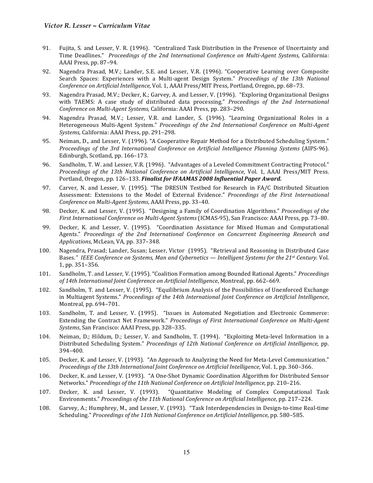- 91. Fujita, S. and Lesser, V. R. (1996). "Centralized Task Distribution in the Presence of Uncertainty and Time Deadlines." Proceedings of the 2nd International Conference on Multi-Agent Systems, California: AAAI Press, pp. 87-94.
- 92. Nagendra Prasad, M.V.; Lander, S.E. and Lesser, V.R. (1996). "Cooperative Learning over Composite Search Spaces: Experiences with a Multi-agent Design System." *Proceedings of the 13th National Conference on Artificial Intelligence,* Vol. 1, AAAI Press/MIT Press, Portland, Oregon, pp. 68-73.
- 93. Nagendra Prasad, M.V.; Decker, K.; Garvey, A. and Lesser, V. (1996). "Exploring Organizational Designs with TAEMS: A case study of distributed data processing." *Proceedings of the 2nd International Conference on Multi-Agent Systems, California: AAAI Press, pp. 283-290.*
- 94. Nagendra Prasad, M.V.; Lesser, V.R. and Lander, S. (1996). "Learning Organizational Roles in a Heterogeneous Multi-Agent System." *Proceedings of the 2nd International Conference on Multi-Agent* Systems, California: AAAI Press, pp. 291-298.
- 95. Neiman, D., and Lesser, V. (1996). "A Cooperative Repair Method for a Distributed Scheduling System." *Proceedings of the 3rd International Conference on Artificial Intelligence Planning Systems* (AIPS-96). Edinburgh, Scotland, pp. 166-173.
- 96. Sandholm, T. W. and Lesser, V.R. (1996). "Advantages of a Leveled Commitment Contracting Protocol." *Proceedings of the 13th National Conference on Artificial Intelligence*, Vol. 1, AAAI Press/MIT Press. Portland, Oregon, pp. 126-133. *Finalist for IFAAMAS 2008 Influential Paper Award.*
- 97. Carver, N. and Lesser, V. (1995). "The DRESUN Testbed for Research in FA/C Distributed Situation Assessment: Extensions to the Model of External Evidence." *Proceedings of the First International Conference on Multi-Agent Systems, AAAI Press, pp.* 33-40.
- 98. Decker, K. and Lesser, V. (1995). "Designing a Family of Coordination Algorithms." Proceedings of the *First International Conference on Multi-Agent Systems* (ICMAS-95), San Francisco: AAAI Press, pp. 73-80.
- 99. Decker, K. and Lesser, V. (1995). "Coordination Assistance for Mixed Human and Computational Agents." Proceedings of the 2nd International Conference on Concurrent Engineering Research and Applications, McLean, VA, pp. 337-348.
- 100. Nagendra, Prasad; Lander, Susan; Lesser, Victor (1995). "Retrieval and Reasoning in Distributed Case Bases." IEEE Conference on Systems, Man and Cybernetics — Intelligent Systems for the 21st Century. Vol. 1, pp. 351-356.
- 101. Sandholm, T. and Lesser, V. (1995). "Coalition Formation among Bounded Rational Agents." *Proceedings*  of 14th International Joint Conference on Artificial Intelligence, Montreal, pp. 662–669.
- 102. Sandholm, T. and Lesser, V. (1995). "Equilibrium Analysis of the Possibilities of Unenforced Exchange in Multiagent Systems." *Proceedings of the 14th International Joint Conference on Artificial Intelligence*, Montreal, pp. 694-701.
- 103. Sandholm, T. and Lesser, V. (1995). "Issues in Automated Negotiation and Electronic Commerce: Extending the Contract Net Framework." *Proceedings of First International Conference on Multi-Agent* Systems, San Francisco: AAAI Press, pp. 328-335.
- 104. Neiman, D.; Hildum, D.; Lesser, V. and Sandholm, T. (1994). "Exploiting Meta-level Information in a Distributed Scheduling System." *Proceedings of 12th National Conference on Artificial Intelligence*, pp. 394–400.
- 105. Decker, K. and Lesser, V. (1993). "An Approach to Analyzing the Need for Meta-Level Communication." *Proceedings of the 13th International Joint Conference on Artificial Intelligence*, Vol. 1, pp. 360-366.
- 106. Decker, K. and Lesser, V. (1993). "A One-Shot Dynamic Coordination Algorithm for Distributed Sensor Networks." Proceedings of the 11th National Conference on Artificial Intelligence, pp. 210-216.
- 107. Decker, K. and Lesser, V. (1993). "Quantitative Modeling of Complex Computational Task Environments." *Proceedings of the 11th National Conference on Artificial Intelligence*, pp. 217–224.
- 108. Garvey, A.; Humphrey, M., and Lesser, V. (1993). "Task Interdependencies in Design-to-time Real-time Scheduling." *Proceedings of the 11th National Conference on Artificial Intelligence*, pp. 580-585.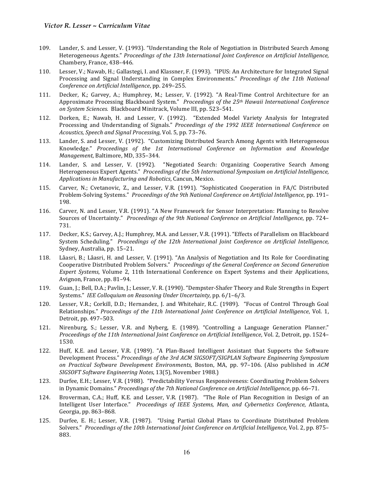- 109. Lander, S. and Lesser, V. (1993). "Understanding the Role of Negotiation in Distributed Search Among Heterogeneous Agents." *Proceedings of the 13th International Joint Conference on Artificial Intelligence,* Chambery, France, 438-446.
- 110. Lesser, V.; Nawab, H.; Gallastegi, I. and Klassner, F. (1993). "IPUS: An Architecture for Integrated Signal Processing and Signal Understanding in Complex Environments." *Proceedings of the 11th National Conference on Artificial Intelligence*, pp. 249-255.
- 111. Decker, K.; Garvey, A.; Humphrey, M.; Lesser, V. (1992). "A Real-Time Control Architecture for an Approximate Processing Blackboard System." *Proceedings of the 25<sup>th</sup> Hawaii International Conference* on System Sciences. Blackboard Minitrack, Volume III, pp. 523-541.
- 112. Dorken, E.; Nawab, H. and Lesser, V. (1992). "Extended Model Variety Analysis for Integrated Processing and Understanding of Signals." *Proceedings of the 1992 IEEE International Conference on Acoustics, Speech and Signal Processing,* Vol. 5, pp. 73–76.
- 113. Lander, S. and Lesser, V. (1992). "Customizing Distributed Search Among Agents with Heterogeneous Knowledge." *Proceedings of the 1st International Conference on Information and Knowledge Management*, Baltimore, MD, 335-344.
- 114. Lander, S. and Lesser, V. (1992). "Negotiated Search: Organizing Cooperative Search Among Heterogeneous Expert Agents." Proceedings of the 5th International Symposium on Artificial Intelligence, *Applications in Manufacturing and Robotics, Cancun, Mexico.*
- 115. Carver, N.; Cvetanovic, Z., and Lesser, V.R. (1991). "Sophisticated Cooperation in FA/C Distributed Problem-Solving Systems." *Proceedings of the 9th National Conference on Artificial Intelligence*, pp. 191– 198.
- 116. Carver, N. and Lesser, V.R. (1991). "A New Framework for Sensor Interpretation: Planning to Resolve Sources of Uncertainty." *Proceedings of the 9th National Conference on Artificial Intelligence*, pp. 724– 731.
- 117. Decker, K.S.; Garvey, A.J.; Humphrey, M.A. and Lesser, V.R. (1991). "Effects of Parallelism on Blackboard System Scheduling." Proceedings of the 12th International Joint Conference on Artificial Intelligence, Sydney, Australia, pp. 15-21.
- 118. Lâasri, B.; Lâasri, H. and Lesser, V. (1991). "An Analysis of Negotiation and Its Role for Coordinating Cooperative Distributed Problem Solvers." Proceedings of the General Conference on Second Generation *Expert Systems*, Volume 2, 11th International Conference on Expert Systems and their Applications, Avignon, France, pp. 81-94.
- 119. Guan, J.; Bell, D.A.; Pavlin, J.; Lesser, V. R. (1990). "Dempster-Shafer Theory and Rule Strengths in Expert Systems." *IEE Colloquium on Reasoning Under Uncertainty*, pp. 6/1-6/3.
- 120. Lesser, V.R.; Corkill, D.D.; Hernandez, J. and Whitehair, R.C. (1989). "Focus of Control Through Goal Relationships." *Proceedings of the 11th International Joint Conference on Artificial Intelligence, Vol. 1,* Detroit, pp. 497-503.
- 121. Nirenburg, S.; Lesser, V.R. and Nyberg, E. (1989). "Controlling a Language Generation Planner." *Proceedings of the 11th International Joint Conference on Artificial Intelligence, Vol. 2, Detroit, pp. 1524–* 1530.
- 122. Huff, K.E. and Lesser, V.R. (1989). "A Plan-Based Intelligent Assistant that Supports the Software Development Process." *Proceedings of the 3rd ACM SIGSOFT/SIGPLAN Software Engineering Symposium* on Practical Software Development Environments, Boston, MA, pp. 97-106. (Also published in ACM *SIGSOFT Software Engineering Notes,* 13(5), November 1988.)
- 123. Durfee, E.H.; Lesser, V.R. (1988). "Predictability Versus Responsiveness: Coordinating Problem Solvers in Dynamic Domains." *Proceedings of the 7th National Conference on Artificial Intelligence*, pp. 66–71.
- 124. Broverman, C.A.; Huff, K.E. and Lesser, V.R. (1987). "The Role of Plan Recognition in Design of an Intelligent User Interface." Proceedings of IEEE Systems, Man, and Cybernetics Conference, Atlanta, Georgia, pp. 863-868.
- 125. Durfee, E. H.; Lesser, V.R. (1987). "Using Partial Global Plans to Coordinate Distributed Problem Solvers." Proceedings of the 10th International Joint Conference on Artificial Intelligence, Vol. 2, pp. 875– 883.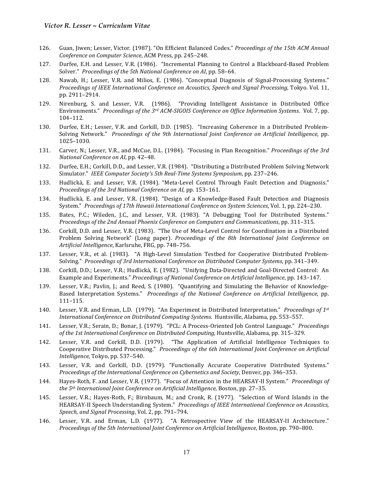- 126. Guan, Jiwen; Lesser, Victor. (1987). "On Efficient Balanced Codes." *Proceedings of the 15th ACM Annual Conference on Computer Science, ACM Press, pp. 245-248.*
- 127. Durfee, E.H. and Lesser, V.R. (1986). "Incremental Planning to Control a Blackboard-Based Problem Solver." Proceedings of the 5th National Conference on AI, pp. 58-64.
- 128. Nawab, H.; Lesser, V.R. and Milios, E. (1986). "Conceptual Diagnosis of Signal-Processing Systems." *Proceedings of IEEE International Conference on Acoustics, Speech and Signal Processing*, Tokyo. Vol. 11, pp. 2911–2914.
- 129. Nirenburg, S. and Lesser, V.R. (1986). "Providing Intelligent Assistance in Distributed Office Environments." Proceedings of the 3rd ACM-SIGOIS Conference on Office Information Systems. Vol. 7, pp. 104–112.
- 130. Durfee, E.H.; Lesser, V.R. and Corkill, D.D. (1985). "Increasing Coherence in a Distributed Problem-Solving Network." Proceedings of the 9th International Joint Conference on Artificial Intelligence, pp. 1025–1030.
- 131. Carver, N.; Lesser, V.R., and McCue, D.L. (1984). "Focusing in Plan Recognition." *Proceedings of the 3rd National Conference on AI*, pp. 42-48.
- 132. Durfee, E.H.; Corkill, D.D., and Lesser, V.R. (1984). "Distributing a Distributed Problem Solving Network Simulator." *IEEE Computer Society's 5th Real-Time Systems Symposium*, pp. 237–246.
- 133. Hudlickà, E. and Lesser, V.R. (1984). "Meta-Level Control Through Fault Detection and Diagnosis." *Proceedings of the 3rd National Conference on AI*, pp. 153-161.
- 134. Hudlickà, E. and Lesser, V.R. (1984). "Design of a Knowledge-Based Fault Detection and Diagnosis System." Proceedings of 17th Hawaii International Conference on System Sciences, Vol. 1, pp. 224–230.
- 135. Bates, P.C.; Wileden, J.C., and Lesser, V.R. (1983). "A Debugging Tool for Distributed Systems." *Proceedings of the 2nd Annual Phoenix Conference on Computers and Communications, pp.* 311–315.
- 136. Corkill, D.D. and Lesser, V.R. (1983). "The Use of Meta-Level Control for Coordination in a Distributed Problem Solving Network" (Long paper). *Proceedings of the 8th International Joint Conference on Artificial Intelligence*, Karlsruhe, FRG, pp. 748–756.
- 137. Lesser, V.R., et al. (1983). "A High-Level Simulation Testbed for Cooperative Distributed Problem-Solving." *Proceedings of 3rd International Conference on Distributed Computer Systems*, pp. 341–349.
- 138. Corkill, D.D.; Lesser, V.R.; Hudlickà, E. (1982). "Unifying Data-Directed and Goal-Directed Control: An Example and Experiments." *Proceedings of National Conference on Artificial Intelligence*, pp. 143-147.
- 139. Lesser, V.R.; Pavlin, J.; and Reed, S. (1980). "Quantifying and Simulating the Behavior of Knowledge-Based Interpretation Systems." Proceedings of the National Conference on Artificial Intelligence, pp. 111–115.
- 140. Lesser, V.R. and Erman, L.D. (1979). "An Experiment in Distributed Interpretation." *Proceedings of* 1<sup>st</sup> *International Conference on Distributed Computing Systems.* Huntsville, Alabama, pp. 553–557.
- 141. Lesser, V.R.; Serain, D.; Bonar, J. (1979). "PCL: A Process-Oriented Job Control Language." *Proceedings* of the 1st International Conference on Distributed Computing, Huntsville, Alabama, pp. 315–329.
- 142. Lesser, V.R. and Corkill, D.D. (1979). "The Application of Artificial Intelligence Techniques to Cooperative Distributed Processing." Proceedings of the 6th International Joint Conference on Artificial *Intelligence*, Tokyo, pp. 537-540.
- 143. Lesser, V.R. and Corkill, D.D. (1979). "Functionally Accurate Cooperative Distributed Systems." *Proceedings of the International Conference on Cybernetics and Society*, Denver, pp. 346-353.
- 144. Hayes-Roth, F. and Lesser, V.R. (1977). "Focus of Attention in the HEARSAY-II System." *Proceedings of the* 5<sup>th</sup> International Joint Conference on Artificial Intelligence, Boston, pp. 27-35.
- 145. Lesser, V.R.; Hayes-Roth, F.; Birnbaum, M.; and Cronk, R. (1977). "Selection of Word Islands in the HEARSAY-II Speech Understanding System." Proceedings of IEEE International Conference on Acoustics, Speech, and Signal Processing, Vol. 2, pp. 791-794.
- 146. Lesser, V.R. and Erman, L.D. (1977). "A Retrospective View of the HEARSAY-II Architecture." *Proceedings of the 5th International Joint Conference on Artificial Intelligence*, Boston, pp. 790–800.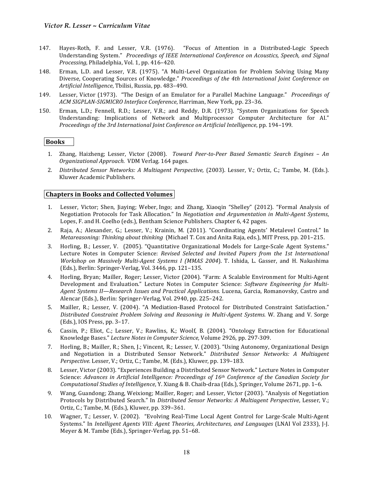- 147. Hayes-Roth, F. and Lesser, V.R. (1976). "Focus of Attention in a Distributed-Logic Speech Understanding System." Proceedings of IEEE International Conference on Acoustics, Speech, and Signal *Processing, Philadelphia, Vol. 1, pp. 416-420.*
- 148. Erman, L.D. and Lesser, V.R. (1975). "A Multi-Level Organization for Problem Solving Using Many Diverse, Cooperating Sources of Knowledge." *Proceedings of the 4th International Joint Conference on Artificial Intelligence*, Tbilisi, Russia, pp. 483–490.
- 149. Lesser, Victor (1973). "The Design of an Emulator for a Parallel Machine Language." *Proceedings of ACM SIGPLAN-SIGMICRO Interface Conference*, Harriman, New York, pp. 23–36.
- 150. Erman, L.D.; Fennell, R.D.; Lesser, V.R.; and Reddy, D.R. (1973). "System Organizations for Speech Understanding: Implications of Network and Multiprocessor Computer Architecture for AI." *Proceedings of the 3rd International Joint Conference on Artificial Intelligence*, pp. 194–199.

## **Books**

- 1. Zhang, Haizheng; Lesser, Victor (2008). *Toward Peer-to-Peer Based Semantic Search Engines An Organizational Approach.* VDM Verlag. 164 pages.
- 2. *Distributed Sensor Networks: A Multiagent Perspective,* (2003). Lesser, V.; Ortiz, C.; Tambe, M. (Eds.). Kluwer Academic Publishers.

## **Chapters in Books and Collected Volumes**

- 1. Lesser, Victor; Shen, Jiaying; Weber, Ingo; and Zhang, Xiaoqin "Shelley" (2012). "Formal Analysis of Negotiation Protocols for Task Allocation." In *Negotiation and Argumentation in Multi-Agent Systems*, Lopes, F. and H. Coelho (eds.), Bentham Science Publishers. Chapter 6, 42 pages.
- 2. Raja, A.; Alexander, G.; Lesser, V.; Krainin, M. (2011). "Coordinating Agents' Metalevel Control." In *Metareasoning: Thinking about thinking* (Michael T. Cox and Anita Raja, eds.), MIT Press, pp. 201-215.
- 3. Horling, B.; Lesser, V. (2005). "Quantitative Organizational Models for Large-Scale Agent Systems." Lecture Notes in Computer Science: *Revised Selected and Invited Papers from the 1st International Workshop on Massively Multi-Agent Systems I (MMAS 2004*). T. Ishida, L. Gasser, and H. Nakashima (Eds.), Berlin: Springer-Verlag, Vol. 3446, pp. 121-135.
- 4. Horling, Bryan; Mailler, Roger; Lesser, Victor (2004). "Farm: A Scalable Environment for Multi-Agent Development and Evaluation." Lecture Notes in Computer Science: Software Engineering for Multi-Agent Systems II—Research Issues and Practical Applications. Lucena, Garcia, Romanovsky, Castro and Alencar (Eds.), Berlin: Springer-Verlag, Vol. 2940, pp. 225-242.
- 5. Mailler, R.; Lesser, V. (2004). "A Mediation-Based Protocol for Distributed Constraint Satisfaction." *Distributed Constraint Problem Solving and Reasoning in Multi-Agent Systems.* W. Zhang and V. Sorge (Eds.), IOS Press, pp. 3-17.
- 6. Cassin, P.; Eliot, C.; Lesser, V.; Rawlins, K.; Woolf, B. (2004). "Ontology Extraction for Educational Knowledge Bases." *Lecture Notes in Computer Science*, Volume 2926, pp. 297-309.
- 7. Horling, B.; Mailler, R.; Shen, J.; Vincent, R.; Lesser, V. (2003). "Using Autonomy, Organizational Design and Negotiation in a Distributed Sensor Network." Distributed Sensor Networks: A Multiagent *Perspective.* Lesser, V.; Ortiz, C.; Tambe, M. (Eds.), Kluwer, pp. 139-183.
- 8. Lesser, Victor (2003). "Experiences Building a Distributed Sensor Network." Lecture Notes in Computer Science: Advances in Artificial Intelligence: Proceedings of 16th Conference of the Canadian Society for *Computational Studies of Intelligence*, Y. Xiang & B. Chaib-draa (Eds.), Springer, Volume 2671, pp. 1–6.
- 9. Wang, Guandong; Zhang, Weixiong; Mailler, Roger; and Lesser, Victor (2003). "Analysis of Negotiation Protocols by Distributed Search." In *Distributed Sensor Networks: A Multiagent Perspective*, Lesser, V.; Ortiz, C.; Tambe, M. (Eds.), Kluwer, pp. 339-361.
- 10. Wagner, T.; Lesser, V. (2002). "Evolving Real-Time Local Agent Control for Large-Scale Multi-Agent Systems." In *Intelligent Agents VIII: Agent Theories, Architectures, and Languages* (LNAI Vol 2333), I-J. Meyer & M. Tambe (Eds.), Springer-Verlag, pp. 51-68.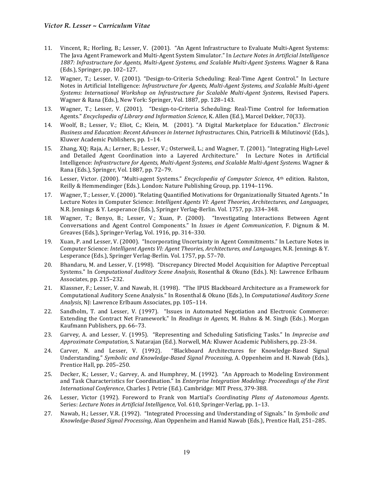- 11. Vincent, R.; Horling, B.; Lesser, V. (2001). "An Agent Infrastructure to Evaluate Multi-Agent Systems: The Java Agent Framework and Multi-Agent System Simulator." In *Lecture Notes in Artificial Intelligence* 1887: Infrastructure for Agents, Multi-Agent Systems, and Scalable Multi-Agent Systems. Wagner & Rana (Eds.), Springer, pp. 102-127.
- 12. Wagner, T.; Lesser, V. (2001). "Design-to-Criteria Scheduling: Real-Time Agent Control." In Lecture Notes in Artificial Intelligence: *Infrastructure for Agents, Multi-Agent Systems, and Scalable Multi-Agent Systems: International Workshop on Infrastructure for Scalable Multi-Agent Systems, Revised Papers.* Wagner & Rana (Eds.), New York: Springer, Vol. 1887, pp. 128-143.
- 13. Wagner, T.; Lesser, V. (2001). "Design-to-Criteria Scheduling: Real-Time Control for Information Agents." *Encyclopedia of Library and Information Science*, K. Allen (Ed.), Marcel Dekker, 70(33).
- 14. Woolf, B.; Lesser, V.; Eliot, C.; Klein, M. (2001). "A Digital Marketplace for Education." *Electronic Business and Education*: *Recent Advances in Internet Infrastructures*. Chin, Patricelli & Milutinović (Eds.), Kluwer Academic Publishers, pp. 1-14.
- 15. Zhang, XQ; Raja, A.; Lerner, B.; Lesser, V.; Osterweil, L.; and Wagner, T. (2001). "Integrating High-Level and Detailed Agent Coordination into a Layered Architecture." In Lecture Notes in Artificial Intelligence: *Infrastructure for Agents, Multi-Agent Systems, and Scalable Multi-Agent Systems.* Wagner & Rana (Eds.), Springer, Vol. 1887, pp. 72-79.
- 16. Lesser, Victor. (2000). "Multi-agent Systems." *Encyclopedia of Computer Science*, 4<sup>th</sup> edition. Ralston, Reilly & Hemmendinger (Eds.). London: Nature Publishing Group, pp. 1194–1196.
- 17. Wagner, T.; Lesser, V. (2000). "Relating Quantified Motivations for Organizationally Situated Agents." In Lecture Notes in Computer Science: *Intelligent Agents VI: Agent Theories, Architectures, and Languages,* N.R. Jennings & Y. Lesperance (Eds.), Springer Verlag-Berlin. Vol. 1757, pp. 334–348.
- 18. Wagner, T.; Benyo, B.; Lesser, V.; Xuan, P. (2000). "Investigating Interactions Between Agent Conversations and Agent Control Components." In *Issues in Agent Communication*, F. Dignum & M. Greaves (Eds.), Springer-Verlag, Vol. 1916, pp. 314–330.
- 19. Xuan, P. and Lesser, V. (2000). "Incorporating Uncertainty in Agent Commitments." In Lecture Notes in Computer Science: *Intelligent Agents VI: Agent Theories, Architectures, and Languages, N.R. Jennings & Y.* Lesperance (Eds.), Springer Verlag-Berlin. Vol. 1757, pp. 57–70.
- 20. Bhandaru, M. and Lesser, V. (1998). "Discrepancy Directed Model Acquisition for Adaptive Perceptual Systems." In *Computational Auditory Scene Analysis*, Rosenthal & Okuno (Eds.). NJ: Lawrence Erlbaum Associates, pp. 215-232.
- 21. Klassner, F.; Lesser, V. and Nawab, H. (1998). "The IPUS Blackboard Architecture as a Framework for Computational Auditory Scene Analysis." In Rosenthal & Okuno (Eds.), In *Computational Auditory Scene* Analysis, NJ: Lawrence Erlbaum Associates, pp. 105-114.
- 22. Sandholm, T. and Lesser, V. (1997). "Issues in Automated Negotiation and Electronic Commerce: Extending the Contract Net Framework." In *Readings in Agents*, M. Huhns & M. Singh (Eds.). Morgan Kaufmann Publishers, pp. 66-73.
- 23. Garvey, A. and Lesser, V. (1995). "Representing and Scheduling Satisficing Tasks." In *Imprecise and* Approximate Computation, S. Natarajan (Ed.). Norwell, MA: Kluwer Academic Publishers, pp. 23-34.
- 24. Carver, N. and Lesser, V. (1992). "Blackboard Architectures for Knowledge-Based Signal Understanding." *Symbolic and Knowledge-Based Signal Processing*, A. Oppenheim and H. Nawab (Eds.), Prentice Hall, pp. 205-250.
- 25. Decker, K.; Lesser, V.; Garvey, A. and Humphrey, M. (1992). "An Approach to Modeling Environment and Task Characteristics for Coordination." In *Enterprise Integration Modeling: Proceedings of the First International Conference*, Charles J. Petrie (Ed.). Cambridge: MIT Press, 379-388.
- 26. Lesser, Victor (1992). Foreword to Frank von Martial's *Coordinating Plans of Autonomous Agents*. Series: *Lecture Notes in Artificial Intelligence*, Vol. 610, Springer-Verlag, pp. 1-13.
- 27. Nawab, H.; Lesser, V.R. (1992). "Integrated Processing and Understanding of Signals." In *Symbolic and Knowledge-Based Signal Processing*, Alan Oppenheim and Hamid Nawab (Eds.), Prentice Hall, 251–285.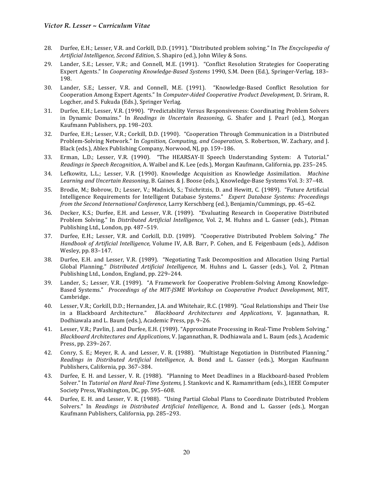- 28. Durfee, E.H.; Lesser, V.R. and Corkill, D.D. (1991). "Distributed problem solving." In *The Encyclopedia of Artificial Intelligence, Second Edition, S. Shapiro (ed.), John Wiley & Sons.*
- 29. Lander, S.E.; Lesser, V.R.; and Connell, M.E. (1991). "Conflict Resolution Strategies for Cooperating Expert Agents." In *Cooperating Knowledge-Based Systems* 1990, S.M. Deen (Ed.), Springer-Verlag, 183– 198.
- 30. Lander, S.E.; Lesser, V.R. and Connell, M.E. (1991). "Knowledge-Based Conflict Resolution for Cooperation Among Expert Agents." In *Computer-Aided Cooperative Product Development*, D. Sriram, R. Logcher, and S. Fukuda (Eds.), Springer Verlag.
- 31. Durfee, E.H.; Lesser, V.R. (1990). "Predictability Versus Responsiveness: Coordinating Problem Solvers in Dynamic Domains." In *Readings in Uncertain Reasoning*, G. Shafer and J. Pearl (ed.), Morgan Kaufmann Publishers, pp. 198-203.
- 32. Durfee, E.H.; Lesser, V.R.; Corkill, D.D. (1990). "Cooperation Through Communication in a Distributed Problem-Solving Network." In *Cognition, Computing, and Cooperation, S. Robertson, W. Zachary, and J.* Black (eds.), Ablex Publishing Company, Norwood, NJ, pp. 159-186.
- 33. Erman, L.D.; Lesser, V.R. (1990). "The HEARSAY-II Speech Understanding System: A Tutorial." *Readings in Speech Recognition*, A. Waibel and K. Lee (eds.), Morgan Kaufmann, California, pp. 235–245.
- 34. Lefkowitz, L.L.; Lesser, V.R. (1990). Knowledge Acquisition as Knowledge Assimilation. *Machine* Learning and Uncertain Reasoning, B. Gaines & J. Boose (eds.), Knowledge-Base Systems Vol. 3: 37-48.
- 35. Brodie, M.; Bobrow, D.; Lesser, V.; Madnick, S.; Tsichritzis, D. and Hewitt, C. (1989). "Future Artificial Intelligence Requirements for Intelligent Database Systems." Expert Database Systems: Proceedings *from the Second International Conference*, Larry Kerschberg (ed.), Benjamin/Cummings, pp. 45-62.
- 36. Decker, K.S.; Durfee, E.H. and Lesser, V.R. (1989). "Evaluating Research in Cooperative Distributed Problem Solving." In *Distributed Artificial Intelligence*, Vol. 2, M. Huhns and L. Gasser (eds.), Pitman Publishing Ltd., London, pp. 487-519.
- 37. Durfee, E.H.; Lesser, V.R. and Corkill, D.D. (1989). "Cooperative Distributed Problem Solving." The *Handbook of Artificial Intelligence,* Volume IV, A.B. Barr, P. Cohen, and E. Feigenbaum (eds.), Addison Wesley, pp. 83-147.
- 38. Durfee, E.H. and Lesser, V.R. (1989). "Negotiating Task Decomposition and Allocation Using Partial Global Planning." *Distributed Artificial Intelligence*, M. Huhns and L. Gasser (eds.), Vol. 2, Pitman Publishing Ltd., London, England, pp. 229-244.
- 39. Lander, S.; Lesser, V.R. (1989). "A Framework for Cooperative Problem-Solving Among Knowledge-Based Systems." Proceedings of the MIT-ISME Workshop on Cooperative Product Development, MIT, Cambridge.
- 40. Lesser, V.R.; Corkill, D.D.; Hernandez, J.A. and Whitehair, R.C. (1989). "Goal Relationships and Their Use in a Blackboard Architecture." *Blackboard Architectures and Applications*, V. Jagannathan, R. Dodhiawala and L. Baum (eds.), Academic Press, pp. 9-26.
- 41. Lesser, V.R.; Pavlin, J. and Durfee, E.H. (1989). "Approximate Processing in Real-Time Problem Solving." *Blackboard Architectures and Applications*, V. Jagannathan, R. Dodhiawala and L. Baum (eds.), Academic Press, pp. 239–267.
- 42. Conry, S. E.; Meyer, R. A. and Lesser, V. R. (1988). "Multistage Negotiation in Distributed Planning." *Readings in Distributed Artificial Intelligence*, A. Bond and L. Gasser (eds.), Morgan Kaufmann Publishers, California, pp. 367-384.
- 43. Durfee, E. H. and Lesser, V. R. (1988). "Planning to Meet Deadlines in a Blackboard-based Problem Solver." In *Tutorial on Hard Real-Time Systems*, J. Stankovic and K. Ramamritham (eds.), IEEE Computer Society Press, Washington, DC, pp. 595-608.
- 44. Durfee, E. H. and Lesser, V. R. (1988). "Using Partial Global Plans to Coordinate Distributed Problem Solvers." In *Readings in Distributed Artificial Intelligence*, A. Bond and L. Gasser (eds.), Morgan Kaufmann Publishers, California, pp. 285-293.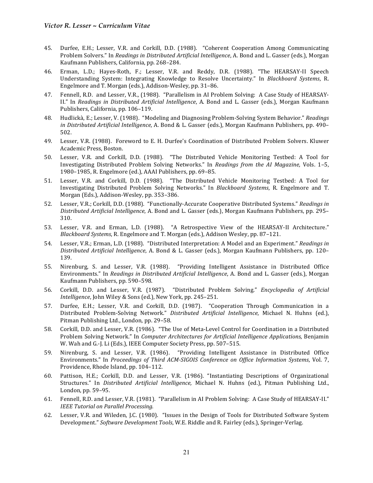- 45. Durfee, E.H.; Lesser, V.R. and Corkill, D.D. (1988). "Coherent Cooperation Among Communicating Problem Solvers." In *Readings in Distributed Artificial Intelligence*, A. Bond and L. Gasser (eds.), Morgan Kaufmann Publishers, California, pp. 268-284.
- 46. Erman, L.D.; Hayes-Roth, F.; Lesser, V.R. and Reddy, D.R. (1988). "The HEARSAY-II Speech Understanding System: Integrating Knowledge to Resolve Uncertainty." In *Blackboard Systems*, R. Engelmore and T. Morgan (eds.), Addison-Wesley, pp. 31-86.
- 47. Fennell, R.D. and Lesser, V.R., (1988). "Parallelism in AI Problem Solving: A Case Study of HEARSAY-II." In *Readings in Distributed Artificial Intelligence*, A. Bond and L. Gasser (eds.), Morgan Kaufmann Publishers, California, pp. 106-119.
- 48. Hudlickà, E.; Lesser, V. (1988). "Modeling and Diagnosing Problem-Solving System Behavior." *Readings in Distributed Artificial Intelligence,* A. Bond & L. Gasser (eds.), Morgan Kaufmann Publishers, pp. 490– 502.
- 49. Lesser, V.R. (1988). Foreword to E. H. Durfee's Coordination of Distributed Problem Solvers. Kluwer Academic Press, Boston.
- 50. Lesser, V.R. and Corkill, D.D. (1988). "The Distributed Vehicle Monitoring Testbed: A Tool for Investigating Distributed Problem Solving Networks." In *Readings from the AI Magazine*, Vols. 1-5, 1980–1985, R. Engelmore (ed.), AAAI Publishers, pp. 69–85.
- 51. Lesser, V.R. and Corkill, D.D. (1988). "The Distributed Vehicle Monitoring Testbed: A Tool for Investigating Distributed Problem Solving Networks." In *Blackboard Systems*, R. Engelmore and T. Morgan (Eds.), Addison-Wesley, pp. 353-386.
- 52. Lesser, V.R.; Corkill, D.D. (1988). "Functionally-Accurate Cooperative Distributed Systems." *Readings in Distributed Artificial Intelligence*, A. Bond and L. Gasser (eds.), Morgan Kaufmann Publishers, pp. 295– 310.
- 53. Lesser, V.R. and Erman, L.D. (1988). "A Retrospective View of the HEARSAY-II Architecture." *Blackboard Systems*, R. Engelmore and T. Morgan (eds.), Addison Wesley, pp. 87-121.
- 54. Lesser, V.R.; Erman, L.D. (1988). "Distributed Interpretation: A Model and an Experiment." *Readings in Distributed Artificial Intelligence*, A. Bond & L. Gasser (eds.), Morgan Kaufmann Publishers, pp. 120– 139.
- 55. Nirenburg, S. and Lesser, V.R. (1988). "Providing Intelligent Assistance in Distributed Office Environments." In *Readings in Distributed Artificial Intelligence*, A. Bond and L. Gasser (eds.), Morgan Kaufmann Publishers, pp. 590-598.
- 56. Corkill, D.D. and Lesser, V.R. (1987). "Distributed Problem Solving." *Encyclopedia of Artificial Intelligence*, John Wiley & Sons (ed.), New York, pp. 245–251.
- 57. Durfee, E.H.; Lesser, V.R. and Corkill, D.D. (1987). "Cooperation Through Communication in a Distributed Problem-Solving Network." *Distributed Artificial Intelligence*, Michael N. Huhns (ed.), Pitman Publishing Ltd., London, pp. 29–58.
- 58. Corkill, D.D. and Lesser, V.R. (1986). "The Use of Meta-Level Control for Coordination in a Distributed Problem Solving Network." In *Computer Architectures for Artificial Intelligence Applications*, Benjamin W. Wah and G.-J. Li (Eds.), IEEE Computer Society Press, pp. 507-515.
- 59. Nirenburg, S. and Lesser, V.R. (1986). "Providing Intelligent Assistance in Distributed Office Environments." In Proceedings of Third ACM-SIGOIS Conference on Office Information Systems, Vol. 7, Providence, Rhode Island, pp. 104-112.
- 60. Pattison, H.E.; Corkill, D.D. and Lesser, V.R. (1986). "Instantiating Descriptions of Organizational Structures." In *Distributed Artificial Intelligence*, Michael N. Huhns (ed.), Pitman Publishing Ltd., London, pp. 59-95.
- 61. Fennell, R.D. and Lesser, V.R. (1981). "Parallelism in AI Problem Solving: A Case Study of HEARSAY-II." *IEEE Tutorial on Parallel Processing*.
- 62. Lesser, V.R. and Wileden, J.C. (1980). "Issues in the Design of Tools for Distributed Software System Development." *Software Development Tools*, W.E. Riddle and R. Fairley (eds.), Springer-Verlag.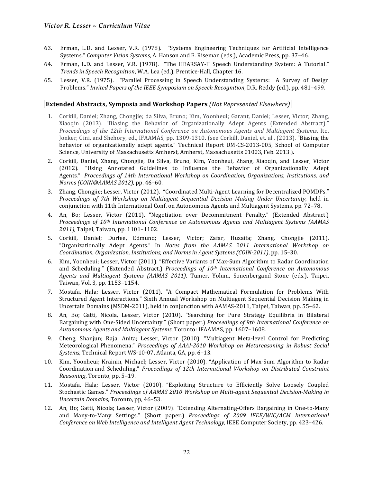- 63. Erman, L.D. and Lesser, V.R. (1978). "Systems Engineering Techniques for Artificial Intelligence Systems." Computer Vision Systems, A. Hanson and E. Riseman (eds.), Academic Press, pp. 37-46.
- 64. Erman, L.D. and Lesser, V.R. (1978). "The HEARSAY-II Speech Understanding System: A Tutorial." *Trends in Speech Recognition,* W.A. Lea (ed.), Prentice-Hall, Chapter 16.
- 65. Lesser, V.R. (1975). "Parallel Processing in Speech Understanding Systems: A Survey of Design Problems." Invited Papers of the IEEE Symposium on Speech Recognition, D.R. Reddy (ed.), pp. 481-499.

### **Extended Abstracts, Symposia and Workshop Papers** *(Not Represented Elsewhere)*

- 1. Corkill, Daniel; Zhang, Chongjie; da Silva, Bruno; Kim, Yoonheui; Garant, Daniel; Lesser, Victor; Zhang, Xiaoqin (2013). "Biasing the Behavior of Organizationally Adept Agents (Extended Abstract)." *Proceedings of the 12th International Conference on Autonomous Agents and Multiagent Systems, Ito,* Jonker, Gini, and Shehory, ed., IFAAMAS, pp. 1309-1310. (see Corkill, Daniel, et. al., (2013). "Biasing the behavior of organizationally adept agents." Technical Report UM-CS-2013-005, School of Computer Science, University of Massachusetts Amherst, Amherst, Massachusetts 01003, Feb. 2013.).
- 2. Corkill, Daniel, Zhang, Chongjie, Da Silva, Bruno, Kim, Yoonheui, Zhang, Xiaoqin, and Lesser, Victor (2012). "Using Annotated Guidelines to Influence the Behavior of Organizationally Adept Agents." Proceedings of 14th International Workshop on Coordination, Organizations, Institutions, and *Norms* (*COIN@AAMAS* 2012), pp. 46-60.
- 3. Zhang, Chongjie; Lesser, Victor (2012). "Coordinated Multi-Agent Learning for Decentralized POMDPs." *Proceedings of 7th Workshop on Multiagent Sequential Decision Making Under Uncertainty, held in* conjunction with 11th International Conf. on Autonomous Agents and Multiagent Systems, pp. 72-78.
- 4. An, Bo; Lesser, Victor (2011). "Negotiation over Decommitment Penalty." (Extended Abstract.) *Proceedings of 10<sup>th</sup> International Conference on Autonomous Agents and Multiagent Systems (AAMAS* 2011), Taipei, Taiwan, pp. 1101-1102.
- 5. Corkill, Daniel; Durfee, Edmund; Lesser, Victor; Zafar, Huzaifa; Zhang, Chongjie (2011). "Organizationally Adept Agents." In *Notes from the AAMAS 2011 International Workshop on Coordination, Organization, Institutions, and Norms in Agent Systems (COIN-2011)*, pp. 15–30.
- 6. Kim, Yoonheui; Lesser, Victor (2011). "Effective Variants of Max-Sum Algorithm to Radar Coordination and Scheduling." (Extended Abstract.) *Proceedings of 10th International Conference on Autonomous Agents and Multiagent Systems (AAMAS 2011)*. Tumer, Yolum, Sonenbergand Stone (eds.), Taipei, Taiwan, Vol. 3, pp. 1153-1154.
- 7. Mostafa, Hala; Lesser, Victor (2011). "A Compact Mathematical Formulation for Problems With Structured Agent Interactions." Sixth Annual Workshop on Multiagent Sequential Decision Making in Uncertain Domains (MSDM-2011), held in conjunction with AAMAS-2011, Taipei, Taiwan, pp. 55–62.
- 8. An, Bo; Gatti, Nicola, Lesser, Victor (2010). "Searching for Pure Strategy Equilibria in Bilateral Bargaining with One-Sided Uncertainty." (Short paper.) Proceedings of 9th International Conference on Autonomous Agents and Multiagent Systems, Toronto: IFAAMAS, pp. 1607-1608.
- 9. Cheng, Shanjun; Raja, Anita; Lesser, Victor (2010). "Multiagent Meta-level Control for Predicting Meteorological Phenomena." Proceedings of AAAI-2010 Workshop on Metareasoning in Robust Social *Systems, Technical Report WS-10-07, Atlanta, GA, pp. 6-13.*
- 10. Kim, Yoonheui; Krainin, Michael; Lesser, Victor (2010). "Application of Max-Sum Algorithm to Radar Coordination and Scheduling." *Proceedings of 12th International Workshop on Distributed Constraint Reasoning*, Toronto, pp. 5-19.
- 11. Mostafa, Hala; Lesser, Victor (2010). "Exploiting Structure to Efficiently Solve Loosely Coupled Stochastic Games." Proceedings of AAMAS 2010 Workshop on Multi-agent Sequential Decision-Making in *Uncertain Domains*, Toronto, pp, 46-53.
- 12. An, Bo; Gatti, Nicola; Lesser, Victor (2009). "Extending Alternating-Offers Bargaining in One-to-Many and Many-to-Many Settings." (Short paper.) Proceedings of 2009 IEEE/WIC/ACM International Conference on Web Intelligence and Intelligent Agent Technology, IEEE Computer Society, pp. 423-426.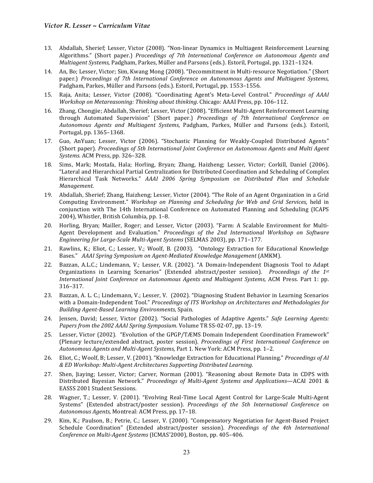- 13. Abdallah, Sherief; Lesser, Victor (2008). "Non-linear Dynamics in Multiagent Reinforcement Learning Algorithms." (Short paper.) *Proceedings of 7th International Conference on Autonomous Agents and Multiagent Systems, Padgham, Parkes, Müller and Parsons (eds.). Estoril, Portugal, pp. 1321-1324.*
- 14. An, Bo; Lesser, Victor; Sim, Kwang Mong (2008). "Decommitment in Multi-resource Negotiation." (Short paper.) *Proceedings of 7th International Conference on Autonomous Agents and Multiagent Systems,* Padgham, Parkes, Müller and Parsons (eds.). Estoril, Portugal, pp. 1553-1556.
- 15. Raja, Anita; Lesser, Victor (2008). "Coordinating Agent's Meta-Level Control." *Proceedings of AAAI Workshop on Metareasoning: Thinking about thinking.* Chicago: AAAI Press, pp. 106–112.
- 16. Zhang, Chongjie; Abdallah, Sherief; Lesser, Victor (2008). "Efficient Multi-Agent Reinforcement Learning through Automated Supervision" (Short paper.) *Proceedings of 7th International Conference on Autonomous Agents and Multiagent Systems,* Padgham, Parkes, Müller and Parsons (eds.). Estoril, Portugal, pp. 1365-1368.
- 17. Guo, AnYuan; Lesser, Victor (2006). "Stochastic Planning for Weakly-Coupled Distributed Agents" (Short paper). *Proceedings of 5th International Joint Conference on Autonomous Agents and Multi Agent Systems.* ACM Press, pp. 326-328.
- 18. Sims, Mark; Mostafa, Hala; Horling, Bryan; Zhang, Haizheng; Lesser, Victor; Corkill, Daniel (2006). "Lateral and Hierarchical Partial Centralization for Distributed Coordination and Scheduling of Complex Hierarchical Task Networks." **AAAI 2006** Spring Symposium on Distributed Plan and Schedule *Management*.
- 19. Abdallah, Sherief; Zhang, Haizheng; Lesser, Victor (2004). "The Role of an Agent Organization in a Grid Computing Environment." *Workshop on Planning and Scheduling for Web and Grid Services*, held in conjunction with The 14th International Conference on Automated Planning and Scheduling (ICAPS 2004), Whistler, British Columbia, pp. 1-8.
- 20. Horling, Bryan; Mailler, Roger; and Lesser, Victor (2003). "Farm: A Scalable Environment for Multi-Agent Development and Evaluation." *Proceedings of the 2nd International Workshop on Software Engineering for Large-Scale Multi-Agent Systems* (SELMAS 2003), pp. 171–177.
- 21. Rawlins, K.; Eliot, C.; Lesser, V.; Woolf, B. (2003). "Ontology Extraction for Educational Knowledge Bases." *AAAI Spring Symposium on Agent-Mediated Knowledge Management* (AMKM).
- 22. Bazzan, A.L.C.; Lindemann, V.; Lesser, V.R. (2002). "A Domain-Independent Diagnosis Tool to Adapt Organizations in Learning Scenarios" (Extended abstract/poster session). *Proceedings of the 1st International Joint Conference on Autonomous Agents and Multiagent Systems, ACM Press. Part 1: pp.* 316–317.
- 23. Bazzan, A. L. C.; Lindemann, V.; Lesser, V. (2002). "Diagnosing Student Behavior in Learning Scenarios with a Domain-Independent Tool." *Proceedings of ITS Workshop on Architectures and Methodologies for Building Agent-Based Learning Environments,* Spain.
- 24. Jensen, David; Lesser, Victor (2002). "Social Pathologies of Adaptive Agents." Safe Learning Agents: Papers from the 2002 AAAI Spring Symposium. Volume TR SS-02-07, pp. 13-19.
- 25. Lesser, Victor (2002). "Evolution of the GPGP/TÆMS Domain Independent Coordination Framework" (Plenary lecture/extended abstract, poster session). *Proceedings of First International Conference on* Autonomous Agents and Multi-Agent Systems, Part 1. New York: ACM Press, pp. 1-2.
- 26. Eliot, C.; Woolf, B; Lesser, V. (2001). "Knowledge Extraction for Educational Planning." Proceedings of AI *& ED Workshop: Multi-Agent Architectures Supporting Distributed Learning.*
- 27. Shen, Jiaying; Lesser, Victor; Carver, Norman (2001). "Reasoning about Remote Data in CDPS with Distributed Bayesian Network." *Proceedings of Multi-Agent Systems and Applications*—ACAI 2001 & EASSS 2001 Student Sessions.
- 28. Wagner, T.; Lesser, V. (2001). "Evolving Real-Time Local Agent Control for Large-Scale Multi-Agent Systems" (Extended abstract/poster session). *Proceedings of the 5th International Conference on* Autonomous Agents, Montreal: ACM Press, pp. 17-18.
- 29. Kim, K.; Paulson, B.; Petrie, C.; Lesser, V. (2000). "Compensatory Negotiation for Agent-Based Project Schedule Coordination" (Extended abstract/poster session). *Proceedings of the 4th International* Conference on Multi-Agent Systems (ICMAS'2000), Boston, pp. 405-406.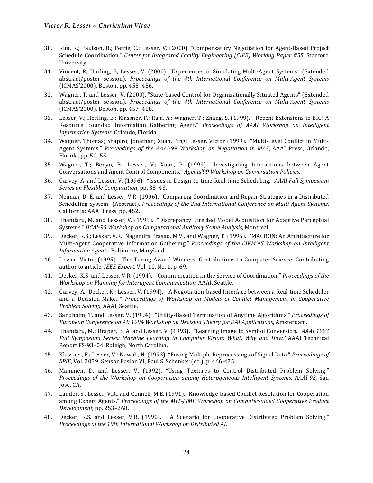- 30. Kim, K.; Paulson, B.; Petrie, C.; Lesser, V. (2000). "Compensatory Negotiation for Agent-Based Project Schedule Coordination." *Center for Integrated Facility Engineering (CIFE)* Working Paper #55, Stanford University.
- 31. Vincent, R; Horling, B; Lesser, V. (2000). "Experiences in Simulating Multi-Agent Systems" (Extended abstract/poster session). *Proceedings of the 4th International Conference on Multi-Agent Systems* (ICMAS'2000), Boston, pp. 455-456.
- 32. Wagner, T. and Lesser, V. (2000). "State-based Control for Organizationally Situated Agents" (Extended abstract/poster session). *Proceedings of the 4th International Conference on Multi-Agent Systems* (ICMAS'2000), Boston, pp. 457-458.
- 33. Lesser, V.; Horling, B.; Klassner, F.; Raja, A.; Wagner, T.; Zhang, S. (1999). "Recent Extensions to BIG: A Resource Bounded Information Gathering Agent." *Proceedings of AAAI Workshop on Intelligent Information Systems*. Orlando, Florida.
- 34. Wagner, Thomas; Shapiro, Jonathan; Xuan, Ping; Lesser, Victor (1999). "Multi-Level Conflict in Multi-Agent Systems." Proceedings of the AAAI-99 Workshop on Negotiation in MAS, AAAI Press. Orlando. Florida*,* pp. 50–55.
- 35. Wagner, T.; Benyo, B.; Lesser, V.; Xuan, P. (1999). "Investigating Interactions between Agent Conversations and Agent Control Components." *Agents'99 Workshop on Conversation Policies.*
- 36. Garvey, A. and Lesser, V. (1996). "Issues in Design-to-time Real-time Scheduling." *AAAI Fall Symposium Series* on *Flexible Computation*, pp. 38-43.
- 37. Neiman, D. E. and Lesser, V.R. (1996). "Comparing Coordination and Repair Strategies in a Distributed Scheduling System" (Abstract). *Proceedings of the 2nd International Conference on Multi-Agent Systems*, California: AAAI Press, pp. 452.
- 38. Bhandaru, M. and Lesser, V. (1995). "Discrepancy Directed Model Acquisition for Adaptive Perceptual Systems." *IJCAI-95 Workshop on Computational Auditory Scene Analysis*, Montreal.
- 39. Decker, K.S.; Lesser, V.R.; Nagendra Prasad, M.V., and Wagner, T. (1995). "MACRON: An Architecture for Multi-Agent Cooperative Information Gathering." *Proceedings of the CIKM'95 Workshop on Intelligent Information Agents*, Baltimore, Maryland.
- 40. Lesser, Victor (1995). The Turing Award Winners' Contributions to Computer Science. Contributing author to article. *IEEE Expert*, Vol. 10, No. 1, p. 69.
- 41. Decker, K.S. and Lesser, V.R. (1994). "Communication in the Service of Coordination." *Proceedings of the Workshop on Planning for Interagent Communication, AAAI, Seattle.*
- 42. Garvey, A.; Decker, K.; Lesser, V. (1994). "A Negotiation-based Interface between a Real-time Scheduler and a Decision-Maker." *Proceedings of Workshop on Models of Conflict Management in Cooperative Problem Solving*, AAAI, Seattle.
- 43. Sandholm, T. and Lesser, V. (1994). "Utility-Based Termination of Anytime Algorithms." *Proceedings of European Conference on AI: 1994 Workshop on Decision Theory for DAI Applications, Amsterdam.*
- 44. Bhandaru, M.; Draper, B. A. and Lesser, V. (1993). "Learning Image to Symbol Conversion." *AAAI* 1993 Fall Symposium Series: Machine Learning in Computer Vision: What, Why and How? AAAI Technical Report FS-93-04. Raleigh, North Carolina.
- 45. Klassner, F.; Lesser, V.; Nawab, H. (1993). "Fusing Multiple Reprocessings of Signal Data." *Proceedings of SPIE*, Vol. 2059: Sensor Fusion VI, Paul S. Schenker (ed.), p. 466-475.
- 46. Mammen, D. and Lesser, V. (1992). "Using Textures to Control Distributed Problem Solving." *Proceedings of the Workshop on Cooperation among Heterogeneous Intelligent Systems, AAAI-92, San* Jose, CA.
- 47. Lander, S., Lesser, V.R., and Connell, M.E. (1991). "Knowledge-based Conflict Resolution for Cooperation among Expert Agents." Proceedings of the MIT-JSME Workshop on Computer-aided Cooperative Product *Development,* pp. 253–268.
- 48. Decker, K.S. and Lesser, V.R. (1990). "A Scenario for Cooperative Distributed Problem Solving." *Proceedings of the 10th International Workshop on Distributed AI.*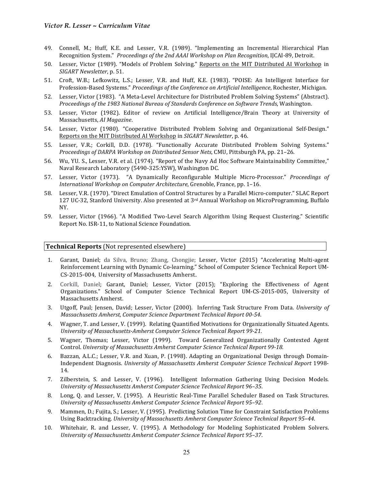- 49. Connell, M.; Huff, K.E. and Lesser, V.R. (1989). "Implementing an Incremental Hierarchical Plan Recognition System." *Proceedings of the 2nd AAAI Workshop on Plan Recognition*, IJCAI-89, Detroit.
- 50. Lesser, Victor (1989). "Models of Problem Solving." Reports on the MIT Distributed AI Workshop in *SIGART Newsletter*, p. 51.
- 51. Croft, W.B.; Lefkowitz, L.S.; Lesser, V.R. and Huff, K.E. (1983). "POISE: An Intelligent Interface for Profession-Based Systems." Proceedings of the Conference on Artificial Intelligence, Rochester, Michigan.
- 52. Lesser, Victor (1983). "A Meta-Level Architecture for Distributed Problem Solving Systems" (Abstract). *Proceedings of the 1983 National Bureau of Standards Conference on Software Trends*, Washington.
- 53. Lesser, Victor (1982). Editor of review on Artificial Intelligence/Brain Theory at University of Massachusetts, AI Magazine.
- 54. Lesser, Victor (1980). "Cooperative Distributed Problem Solving and Organizational Self-Design." Reports on the MIT Distributed AI Workshop in *SIGART Newsletter*, p. 46.
- 55. Lesser, V.R.; Corkill, D.D. (1978). "Functionally Accurate Distributed Problem Solving Systems." *Proceedings of DARPA Workshop on Distributed Sensor Nets*, CMU, Pittsburgh PA, pp. 21-26.
- 56. Wu, YU. S., Lesser, V.R. et al. (1974). "Report of the Navy Ad Hoc Software Maintainability Committee," Naval Research Laboratory (5490-325:YSW), Washington DC.
- 57. Lesser, Victor (1973). "A Dynamically Reconfigurable Multiple Micro-Processor." *Proceedings of International Workshop on Computer Architecture*, Grenoble, France, pp. 1-16.
- 58. Lesser, V.R. (1970). "Direct Emulation of Control Structures by a Parallel Micro-computer." SLAC Report 127 UC-32, Stanford University. Also presented at  $3<sup>rd</sup>$  Annual Workshop on MicroProgramming, Buffalo NY.
- 59. Lesser, Victor (1966). "A Modified Two-Level Search Algorithm Using Request Clustering." Scientific Report No. ISR-11, to National Science Foundation.

#### **Technical Reports** (Not represented elsewhere)

- 1. Garant, Daniel; da Silva, Bruno; Zhang, Chongjie; Lesser, Victor (2015) "Accelerating Multi-agent Reinforcement Learning with Dynamic Co-learning." School of Computer Science Technical Report UM-CS-2015-004, University of Massachusetts Amherst.
- 2. Corkill, Daniel; Garant, Daniel; Lesser, Victor (2015); "Exploring the Effectiveness of Agent Organizations." School of Computer Science Technical Report UM-CS-2015-005, University of Massachusetts Amherst.
- 3. Utgoff, Paul; Jensen, David; Lesser, Victor (2000). Inferring Task Structure From Data. *University of Massachusetts Amherst, Computer Science Department Technical Report 00-54*.
- 4. Wagner, T. and Lesser, V. (1999). Relating Quantified Motivations for Organizationally Situated Agents. *University of Massachusetts-Amherst Computer Science Technical Report 99-21.*
- 5. Wagner, Thomas; Lesser, Victor (1999). Toward Generalized Organizationally Contexted Agent Control. *University of Massachusetts Amherst Computer Science Technical Report 99-18.*
- 6. Bazzan, A.L.C.; Lesser, V.R. and Xuan, P. (1998). Adapting an Organizational Design through Domain-Independent Diagnosis. *University of Massachusetts Amherst Computer Science Technical Report* 1998- 14.
- 7. Zilberstein, S. and Lesser, V. (1996). Intelligent Information Gathering Using Decision Models. *University of Massachusetts Amherst Computer Science Technical Report 96–35*.
- 8. Long, Q. and Lesser, V. (1995). A Heuristic Real-Time Parallel Scheduler Based on Task Structures. *University of Massachusetts Amherst Computer Science Technical Report 95–92*.
- 9. Mammen, D.; Fujita, S.; Lesser, V. (1995). Predicting Solution Time for Constraint Satisfaction Problems Using Backtracking. *University of Massachusetts Amherst Computer Science Technical Report 95-44.*
- 10. Whitehair, R. and Lesser, V. (1995). A Methodology for Modeling Sophisticated Problem Solvers. *University of Massachusetts Amherst Computer Science Technical Report 95–37*.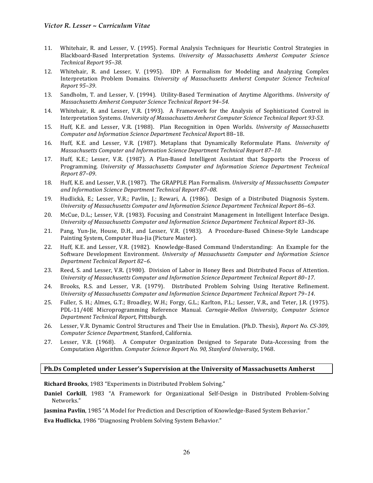- 11. Whitehair, R. and Lesser, V. (1995). Formal Analysis Techniques for Heuristic Control Strategies in Blackboard-Based Interpretation Systems. *University of Massachusetts Amherst Computer Science Technical Report 95–38*.
- 12. Whitehair, R. and Lesser, V. (1995). IDP: A Formalism for Modeling and Analyzing Complex Interpretation Problem Domains*. University of Massachusetts Amherst Computer Science Technical Report 95–39*.
- 13. Sandholm, T. and Lesser, V. (1994). Utility-Based Termination of Anytime Algorithms. *University of Massachusetts Amherst Computer Science Technical Report 94–54.*
- 14. Whitehair, R. and Lesser, V.R. (1993). A Framework for the Analysis of Sophisticated Control in Interpretation Systems. *University of Massachusetts Amherst Computer Science Technical Report 93-53.*
- 15. Huff, K.E. and Lesser, V.R. (1988). Plan Recognition in Open Worlds. *University of Massachusetts* Computer and Information Science Department Technical Report 88-18.
- 16. Huff, K.E. and Lesser, V.R. (1987). Metaplans that Dynamically Reformulate Plans. *University of Massachusetts Computer and Information Science Department Technical Report 87-10.*
- 17. Huff, K.E.; Lesser, V.R. (1987). A Plan-Based Intelligent Assistant that Supports the Process of Programming. *University of Massachusetts Computer and Information Science Department Technical Report 87–09*.
- 18. Huff, K.E. and Lesser, V.R. (1987). The GRAPPLE Plan Formalism. *University of Massachusetts Computer* and Information Science Department Technical Report 87-08.
- 19. Hudlickà, E.; Lesser, V.R.; Pavlin, J.; Rewari, A. (1986). Design of a Distributed Diagnosis System. University of Massachusetts Computer and Information Science Department Technical Report 86–63.
- 20. McCue, D.L.; Lesser, V.R. (1983). Focusing and Constraint Management in Intelligent Interface Design. *University of Massachusetts Computer and Information Science Department Technical Report 83-36.*
- 21. Pang, Yun-Jie, House, D.H., and Lesser, V.R. (1983). A Procedure-Based Chinese-Style Landscape Painting System, Computer Hua-Jia (Picture Master).
- 22. Huff, K.E. and Lesser, V.R. (1982). Knowledge-Based Command Understanding: An Example for the Software Development Environment. *University of Massachusetts Computer and Information Science Department Technical Report 82–6*.
- 23. Reed, S. and Lesser, V.R. (1980). Division of Labor in Honey Bees and Distributed Focus of Attention. University of Massachusetts Computer and Information Science Department Technical Report 80-17.
- 24. Brooks, R.S. and Lesser, V.R. (1979). Distributed Problem Solving Using Iterative Refinement. University of Massachusetts Computer and Information Science Department Technical Report 79–14.
- 25. Fuller, S. H.; Almes, G.T.; Broadley, W.H.; Forgy, G.L.; Karlton, P.L.; Lesser, V.R., and Teter, J.R. (1975). PDL-11/40E Microprogramming Reference Manual. *Carnegie-Mellon University, Computer Science Department Technical Report,* Pittsburgh.
- 26. Lesser, V.R. Dynamic Control Structures and Their Use in Emulation. (Ph.D. Thesis), *Report No. CS-309*, *Computer Science Department,* Stanford, California.
- 27. Lesser, V.R. (1968). A Computer Organization Designed to Separate Data-Accessing from the Computation Algorithm. *Computer Science Report No. 90, Stanford University*, 1968.

#### **Ph.Ds Completed under Lesser's Supervision at the University of Massachusetts Amherst**

**Richard Brooks**, 1983 "Experiments in Distributed Problem Solving."

**Daniel Corkill**, 1983 "A Framework for Organizational Self-Design in Distributed Problem-Solving Networks."

**Jasmina Pavlin, 1985** "A Model for Prediction and Description of Knowledge-Based System Behavior."

**Eva Hudlicka**, 1986 "Diagnosing Problem Solving System Behavior."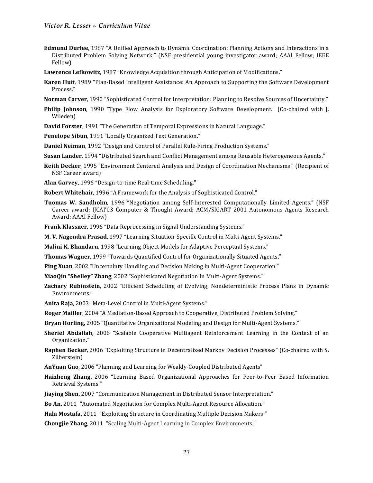- **Edmund Durfee**, 1987 "A Unified Approach to Dynamic Coordination: Planning Actions and Interactions in a Distributed Problem Solving Network." (NSF presidential young investigator award; AAAI Fellow; IEEE Fellow)
- **Lawrence Lefkowitz**, 1987 "Knowledge Acquisition through Anticipation of Modifications."
- **Karen Huff**, 1989 "Plan-Based Intelligent Assistance: An Approach to Supporting the Software Development Process."
- **Norman Carver**, 1990 "Sophisticated Control for Interpretation: Planning to Resolve Sources of Uncertainty."
- **Philip Johnson**, 1990 "Type Flow Analysis for Exploratory Software Development." (Co-chaired with J. Wileden)
- **David Forster**, 1991 "The Generation of Temporal Expressions in Natural Language."
- **Penelope Sibun, 1991 "Locally Organized Text Generation."**
- **Daniel Neiman**, 1992 "Design and Control of Parallel Rule-Firing Production Systems."
- **Susan Lander**, 1994 "Distributed Search and Conflict Management among Reusable Heterogeneous Agents."
- **Keith Decker**, 1995 "Environment Centered Analysis and Design of Coordination Mechanisms." (Recipient of NSF Career award)
- **Alan Garvey**, 1996 "Design-to-time Real-time Scheduling."
- **Robert Whitehair**, 1996 "A Framework for the Analysis of Sophisticated Control."
- **Tuomas W. Sandholm**, 1996 "Negotiation among Self-Interested Computationally Limited Agents." (NSF Career award; IJCAI'03 Computer & Thought Award; ACM/SIGART 2001 Autonomous Agents Research Award; AAAI Fellow)
- **Frank Klassner**, 1996 "Data Reprocessing in Signal Understanding Systems."
- **M. V. Nagendra Prasad**, 1997 "Learning Situation-Specific Control in Multi-Agent Systems."
- **Malini K. Bhandaru**, 1998 "Learning Object Models for Adaptive Perceptual Systems."
- **Thomas Wagner**, 1999 "Towards Quantified Control for Organizationally Situated Agents."
- **Ping Xuan**, 2002 "Uncertainty Handling and Decision Making in Multi-Agent Cooperation."
- **XiaoQin "Shelley" Zhang**, 2002 "Sophisticated Negotiation In Multi-Agent Systems."
- **Zachary Rubinstein**, 2002 "Efficient Scheduling of Evolving, Nondeterministic Process Plans in Dynamic Environments."
- **Anita Raja**, 2003 "Meta-Level Control in Multi-Agent Systems."
- **Roger Mailler**, 2004 "A Mediation-Based Approach to Cooperative, Distributed Problem Solving."
- **Bryan Horling,** 2005 "Quantitative Organizational Modeling and Design for Multi-Agent Systems."
- **Sherief Abdallah,** 2006 "Scalable Cooperative Multiagent Reinforcement Learning in the Context of an Organization."
- **Raphen Becker**, 2006 "Exploiting Structure in Decentralized Markov Decision Processes" (Co-chaired with S. Zilberstein)
- **AnYuan Guo**, 2006 "Planning and Learning for Weakly-Coupled Distributed Agents"
- **Haizheng Zhang,** 2006 "Learning Based Organizational Approaches for Peer-to-Peer Based Information Retrieval Systems."
- **Jiaying Shen,** 2007 "Communication Management in Distributed Sensor Interpretation."
- **Bo An,** 2011 "Automated Negotiation for Complex Multi-Agent Resource Allocation."
- **Hala Mostafa,** 2011 "Exploiting Structure in Coordinating Multiple Decision Makers."
- **Chongjie Zhang, 2011** "Scaling Multi-Agent Learning in Complex Environments."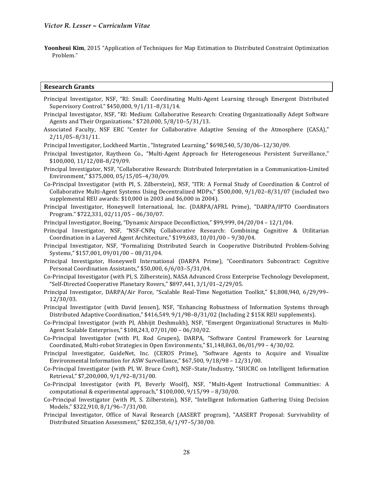**Yoonheui Kim**, 2015 "Application of Techniques for Map Estimation to Distributed Constraint Optimization Problem."

#### **Research Grants**

- Principal Investigator, NSF, "RI: Small: Coordinating Multi-Agent Learning through Emergent Distributed Supervisory Control." \$450,000, 9/1/11–8/31/14.
- Principal Investigator, NSF, "RI: Medium: Collaborative Research: Creating Organizationally Adept Software Agents and Their Organizations." \$720,000, 5/8/10–5/31/13.
- Associated Faculty, NSF ERC "Center for Collaborative Adaptive Sensing of the Atmosphere (CASA)," 2/11/05–8/31/11.
- Principal Investigator, Lockheed Martin, "Integrated Learning," \$698,540, 5/30/06-12/30/09.
- Principal Investigator, Raytheon Co., "Multi-Agent Approach for Heterogeneous Persistent Surveillance," \$100,000, 11/12/08–8/29/09.
- Principal Investigator, NSF, "Collaborative Research: Distributed Interpretation in a Communication-Limited Environment," \$375,000, 05/15/05–4/30/09.
- Co-Principal Investigator (with PI, S. Zilberstein), NSF, "ITR: A Formal Study of Coordination & Control of Collaborative Multi-Agent Systems Using Decentralized MDPs," \$500,000, 9/1/02-8/31/07 (included two supplemental REU awards: \$10,000 in 2003 and \$6,000 in 2004).
- Principal Investigator, Honeywell International, Inc. (DARPA/AFRL Prime), "DARPA/IPTO Coordinators Program." \$722,331, 02/11/05 - 06/30/07.
- Principal Investigator, Boeing, "Dynamic Airspace Deconfliction," \$99,999, 04/20/04 12/1/04.
- Principal Investigator, NSF, "NSF-CNPq Collaborative Research: Combining Cognitive & Utilitarian Coordination in a Layered Agent Architecture,"  $$199,683, 10/01/00 - 9/30/04$ .
- Principal Investigator, NSF, "Formalizing Distributed Search in Cooperative Distributed Problem-Solving Systems," \$157,001, 09/01/00 - 08/31/04.
- Principal Investigator, Honeywell International (DARPA Prime), "Coordinators Subcontract: Cognitive Personal Coordination Assistants," \$50,000, 6/6/03-5/31/04.
- Co-Principal Investigator (with PI, S. Zilberstein), NASA Advanced Cross Enterprise Technology Development, "Self-Directed Cooperative Planetary Rovers," \$897,441, 3/1/01-2/29/05.
- Principal Investigator, DARPA/Air Force, "Scalable Real-Time Negotiation Toolkit," \$1,808,940, 6/29/99– 12/30/03.
- Principal Investigator (with David Jensen), NSF, "Enhancing Robustness of Information Systems through Distributed Adaptive Coordination," \$416,549, 9/1/98-8/31/02 (Including 2 \$15K REU supplements).
- Co-Principal Investigator (with PI, Abhijit Deshmukh), NSF, "Emergent Organizational Structures in Multi-Agent Scalable Enterprises," \$108,243, 07/01/00 - 06/30/02.
- Co-Principal Investigator (with PI, Rod Grupen), DARPA, "Software Control Framework for Learning Coordinated, Multi-robot Strategies in Open Environments," \$1,148,863, 06/01/99 - 4/30/02.
- Principal Investigator, GuideNet, Inc. (CEROS Prime), "Software Agents to Acquire and Visualize Environmental Information for ASW Surveillance,"  $$67,500, 9/18/98 - 12/31/00$ .
- Co-Principal Investigator (with PI, W. Bruce Croft), NSF–State/Industry, "SIUCRC on Intelligent Information Retrieval," \$7,200,000, 9/1/92-8/31/00.
- Co-Principal Investigator (with PI, Beverly Woolf), NSF, "Multi-Agent Instructional Communities: A computational & experimental approach,"  $$100,000, 9/15/99 - 8/30/00$ .
- Co-Principal Investigator (with PI, S. Zilberstein), NSF, "Intelligent Information Gathering Using Decision Models," \$322,910, 8/1/96-7/31/00.
- Principal Investigator, Office of Naval Research (AASERT program), "AASERT Proposal: Survivability of Distributed Situation Assessment," \$202,358, 6/1/97–5/30/00.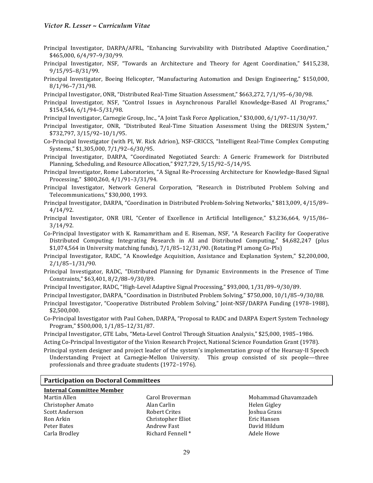- Principal Investigator, DARPA/AFRL, "Enhancing Survivability with Distributed Adaptive Coordination," \$465,000, 6/4/97-9/30/99.
- Principal Investigator, NSF, "Towards an Architecture and Theory for Agent Coordination," \$415,238, 9/15/95–8/31/99.
- Principal Investigator, Boeing Helicopter, "Manufacturing Automation and Design Engineering," \$150,000, 8/1/96–7/31/98.
- Principal Investigator, ONR, "Distributed Real-Time Situation Assessment," \$663,272, 7/1/95–6/30/98.
- Principal Investigator, NSF, "Control Issues in Asynchronous Parallel Knowledge-Based AI Programs," \$154,546, 6/1/94-5/31/98.
- Principal Investigator, Carnegie Group, Inc., "A Joint Task Force Application," \$30,000, 6/1/97-11/30/97.
- Principal Investigator, ONR, "Distributed Real-Time Situation Assessment Using the DRESUN System," \$732,797, 3/15/92–10/1/95.
- Co-Principal Investigator (with PI, W. Rick Adrion), NSF-CRICCS, "Intelligent Real-Time Complex Computing Systems," \$1,305,000, 7/1/92-6/30/95.
- Principal Investigator, DARPA, "Coordinated Negotiated Search: A Generic Framework for Distributed Planning, Scheduling, and Resource Allocation," \$927,729, 5/15/92-5/14/95.
- Principal Investigator, Rome Laboratories, "A Signal Re-Processing Architecture for Knowledge-Based Signal Processing," \$800,260, 4/1/91-3/31/94.
- Principal Investigator, Network General Corporation, "Research in Distributed Problem Solving and Telecommunications," \$30,000, 1993.
- Principal Investigator, DARPA, "Coordination in Distributed Problem-Solving Networks," \$813,009, 4/15/89– 4/14/92.
- Principal Investigator, ONR URI, "Center of Excellence in Artificial Intelligence," \$3,236,664, 9/15/86-3/14/92.
- Co-Principal Investigator with K. Ramamritham and E. Riseman, NSF, "A Research Facility for Cooperative Distributed Computing: Integrating Research in AI and Distributed Computing," \$4,682,247 (plus  $$1,074,564$  in University matching funds),  $7/1/85-12/31/90$ . (Rotating PI among Co-PIs)
- Principal Investigator, RADC, "A Knowledge Acquisition, Assistance and Explanation System," \$2,200,000, 2/1/85–1/31/90.
- Principal Investigator, RADC, "Distributed Planning for Dynamic Environments in the Presence of Time Constraints," \$63,401, 8/2/88-9/30/89.
- Principal Investigator, RADC, "High-Level Adaptive Signal Processing," \$93,000, 1/31/89-9/30/89.
- Principal Investigator, DARPA, "Coordination in Distributed Problem Solving," \$750,000, 10/1/85-9/30/88.
- Principal Investigator, "Cooperative Distributed Problem Solving," Joint-NSF/DARPA Funding (1978–1988), \$2,500,000.
- Co-Principal Investigator with Paul Cohen, DARPA, "Proposal to RADC and DARPA Expert System Technology Program," \$500,000, 1/1/85-12/31/87.
- Principal Investigator, GTE Labs, "Meta-Level Control Through Situation Analysis," \$25,000, 1985-1986.
- Acting Co-Principal Investigator of the Vision Research Project, National Science Foundation Grant (1978).

Principal system designer and project leader of the system's implementation group of the Hearsay-II Speech Understanding Project at Carnegie-Mellon University. This group consisted of six people—three professionals and three graduate students (1972–1976).

## **Participation on Doctoral Committees**

| <b>Internal Committee Member</b> |                              |
|----------------------------------|------------------------------|
| Martin Allen                     | Carol Broverman              |
| Christopher Amato                | Alan Carlin                  |
| <b>Scott Anderson</b>            | Robert Crites                |
| Ron Arkin                        | Christopher Eliot            |
| Peter Bates                      | Andrew Fast                  |
| Carla Brodley                    | Richard Fennell <sup>*</sup> |
|                                  |                              |

Mohammad Ghavamzadeh Helen Gigley Joshua Grass Eric Hansen David Hildum **Adele Howe**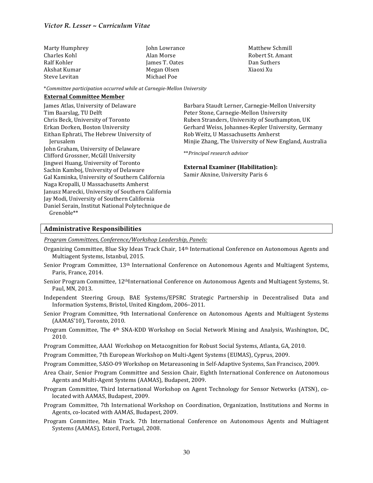| Marty Humphrey | John Lowrance  |
|----------------|----------------|
| Charles Kohl   | Alan Morse     |
| Ralf Kohler    | James T. Oates |
| Akshat Kumar   | Megan Olsen    |
| Steve Levitan  | Michael Poe    |
|                |                |

Matthew Schmill Robert St. Amant Dan Suthers Xiaoxi Xu

\**Committee participation occurred while at Carnegie-Mellon University*

#### **External Committee Member**

James Atlas, University of Delaware Tim Baarslag, TU Delft Chris Beck, University of Toronto Erkan Dorken, Boston University Eithan Ephrati, The Hebrew University of Jerusalem John Graham, University of Delaware Clifford Grossner, McGill University Jingwei Huang, University of Toronto Sachin Kamboj, University of Delaware Gal Kaminka, University of Southern California Naga Kropalli, U Massachusetts Amherst Janusz Marecki, University of Southern California Jay Modi, University of Southern California Daniel Serain, Institut National Polytechnique de Grenoble\*\* Barbara Staudt Lerner, Carnegie-Mellon University Peter Stone, Carnegie-Mellon University Ruben Stranders, University of Southampton, UK Gerhard Weiss, Johannes-Kepler University, Germany Rob Weitz, U Massachusetts Amherst Minjie Zhang, The University of New England, Australia \*\**Principal research advisor* **External Examiner (Habilitation):** Samir Aknine, University Paris 6

#### **Administrative Responsibilities**

*Program Committees, Conference/Workshop Leadership, Panels:*

- Organizing Committee, Blue Sky Ideas Track Chair, 14<sup>th</sup> International Conference on Autonomous Agents and Multiagent Systems, Istanbul, 2015.
- Senior Program Committee, 13<sup>th</sup> International Conference on Autonomous Agents and Multiagent Systems, Paris, France, 2014.
- Senior Program Committee, 12<sup>th</sup>International Conference on Autonomous Agents and Multiagent Systems, St. Paul, MN, 2013.
- Independent Steering Group, BAE Systems/EPSRC Strategic Partnership in Decentralised Data and Information Systems, Bristol, United Kingdom, 2006-2011.
- Senior Program Committee, 9th International Conference on Autonomous Agents and Multiagent Systems (AAMAS'10), Toronto, 2010.
- Program Committee, The 4<sup>th</sup> SNA-KDD Workshop on Social Network Mining and Analysis, Washington, DC, 2010.
- Program Committee, AAAI Workshop on Metacognition for Robust Social Systems, Atlanta, GA, 2010.
- Program Committee, 7th European Workshop on Multi-Agent Systems (EUMAS), Cyprus, 2009.

Program Committee, SASO-09 Workshop on Metareasoning in Self-Adaptive Systems, San Francisco, 2009.

- Area Chair, Senior Program Committee and Session Chair, Eighth International Conference on Autonomous Agents and Multi-Agent Systems (AAMAS), Budapest, 2009.
- Program Committee, Third International Workshop on Agent Technology for Sensor Networks (ATSN), colocated with AAMAS, Budapest, 2009.
- Program Committee, 7th International Workshop on Coordination, Organization, Institutions and Norms in Agents, co-located with AAMAS, Budapest, 2009.
- Program Committee, Main Track. 7th International Conference on Autonomous Agents and Multiagent Systems (AAMAS), Estoril, Portugal, 2008.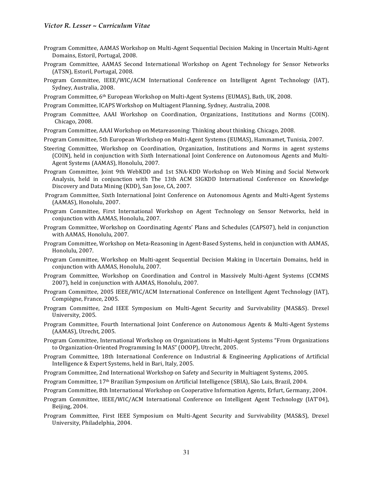- Program Committee, AAMAS Workshop on Multi-Agent Sequential Decision Making in Uncertain Multi-Agent Domains, Estoril, Portugal, 2008.
- Program Committee, AAMAS Second International Workshop on Agent Technology for Sensor Networks (ATSN), Estoril, Portugal, 2008.
- Program Committee, IEEE/WIC/ACM International Conference on Intelligent Agent Technology (IAT), Sydney, Australia, 2008.
- Program Committee, 6<sup>th</sup> European Workshop on Multi-Agent Systems (EUMAS), Bath, UK, 2008.
- Program Committee, ICAPS Workshop on Multiagent Planning, Sydney, Australia, 2008.
- Program Committee, AAAI Workshop on Coordination, Organizations, Institutions and Norms (COIN). Chicago, 2008.
- Program Committee, AAAI Workshop on Metareasoning: Thinking about thinking. Chicago, 2008.
- Program Committee, 5th European Workshop on Multi-Agent Systems (EUMAS), Hammamet, Tunisia, 2007.
- Steering Committee, Workshop on Coordination, Organization, Institutions and Norms in agent systems (COIN), held in conjunction with Sixth International Joint Conference on Autonomous Agents and Multi-Agent Systems (AAMAS), Honolulu, 2007.
- Program Committee, Joint 9th WebKDD and 1st SNA-KDD Workshop on Web Mining and Social Network Analysis, held in conjunction with The 13th ACM SIGKDD International Conference on Knowledge Discovery and Data Mining (KDD), San Jose, CA, 2007.
- Program Committee, Sixth International Joint Conference on Autonomous Agents and Multi-Agent Systems (AAMAS), Honolulu, 2007.
- Program Committee, First International Workshop on Agent Technology on Sensor Networks, held in conjunction with AAMAS, Honolulu, 2007.
- Program Committee, Workshop on Coordinating Agents' Plans and Schedules (CAPS07), held in conjunction with AAMAS, Honolulu, 2007.
- Program Committee, Workshop on Meta-Reasoning in Agent-Based Systems, held in conjunction with AAMAS, Honolulu, 2007.
- Program Committee, Workshop on Multi-agent Sequential Decision Making in Uncertain Domains, held in conjunction with AAMAS, Honolulu, 2007.
- Program Committee, Workshop on Coordination and Control in Massively Multi-Agent Systems (CCMMS) 2007), held in conjunction with AAMAS, Honolulu, 2007.
- Program Committee, 2005 IEEE/WIC/ACM International Conference on Intelligent Agent Technology (IAT), Compiègne, France, 2005.
- Program Committee, 2nd IEEE Symposium on Multi-Agent Security and Survivability (MAS&S). Drexel University, 2005.
- Program Committee, Fourth International Joint Conference on Autonomous Agents & Multi-Agent Systems (AAMAS), Utrecht, 2005.
- Program Committee, International Workshop on Organizations in Multi-Agent Systems "From Organizations" to Organization-Oriented Programming In MAS" (OOOP), Utrecht, 2005.
- Program Committee, 18th International Conference on Industrial & Engineering Applications of Artificial Intelligence & Expert Systems, held in Bari, Italy, 2005.
- Program Committee, 2nd International Workshop on Safety and Security in Multiagent Systems, 2005.
- Program Committee, 17<sup>th</sup> Brazilian Symposium on Artificial Intelligence (SBIA), São Luis, Brazil, 2004.
- Program Committee, 8th International Workshop on Cooperative Information Agents, Erfurt, Germany, 2004.
- Program Committee, IEEE/WIC/ACM International Conference on Intelligent Agent Technology (IAT'04), Beijing, 2004.
- Program Committee, First IEEE Symposium on Multi-Agent Security and Survivability (MAS&S), Drexel University, Philadelphia, 2004.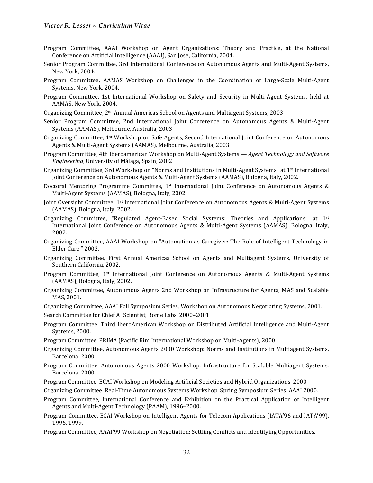- Program Committee, AAAI Workshop on Agent Organizations: Theory and Practice, at the National Conference on Artificial Intelligence (AAAI), San Jose, California, 2004.
- Senior Program Committee, 3rd International Conference on Autonomous Agents and Multi-Agent Systems, New York, 2004.
- Program Committee, AAMAS Workshop on Challenges in the Coordination of Large-Scale Multi-Agent Systems, New York, 2004.
- Program Committee, 1st International Workshop on Safety and Security in Multi-Agent Systems, held at AAMAS, New York, 2004.
- Organizing Committee, 2<sup>nd</sup> Annual Americas School on Agents and Multiagent Systems, 2003.
- Senior Program Committee, 2nd International Joint Conference on Autonomous Agents & Multi-Agent Systems (AAMAS), Melbourne, Australia, 2003.
- Organizing Committee, 1<sup>st</sup> Workshop on Safe Agents, Second International Joint Conference on Autonomous Agents & Multi-Agent Systems (AAMAS), Melbourne, Australia, 2003.
- Program Committee, 4th Iberoamerican Workshop on Multi-Agent Systems *Agent Technology and Software Engineering*, University of Málaga, Spain, 2002.
- Organizing Committee, 3rd Workshop on "Norms and Institutions in Multi-Agent Systems" at 1<sup>st</sup> International Joint Conference on Autonomous Agents & Multi-Agent Systems (AAMAS), Bologna, Italy, 2002.
- Doctoral Mentoring Programme Committee,  $1^{st}$  International Joint Conference on Autonomous Agents & Multi-Agent Systems (AAMAS), Bologna, Italy, 2002.
- Joint Oversight Committee, 1<sup>st</sup> International Joint Conference on Autonomous Agents & Multi-Agent Systems (AAMAS), Bologna, Italy, 2002.
- Organizing Committee, "Regulated Agent-Based Social Systems: Theories and Applications" at  $1^{st}$ International Joint Conference on Autonomous Agents & Multi-Agent Systems (AAMAS), Bologna, Italy, 2002.
- Organizing Committee, AAAI Workshop on "Automation as Caregiver: The Role of Intelligent Technology in Elder Care," 2002.
- Organizing Committee, First Annual Americas School on Agents and Multiagent Systems, University of Southern California, 2002.
- Program Committee, 1<sup>st</sup> International Joint Conference on Autonomous Agents & Multi-Agent Systems (AAMAS), Bologna, Italy, 2002.
- Organizing Committee, Autonomous Agents 2nd Workshop on Infrastructure for Agents, MAS and Scalable MAS, 2001.
- Organizing Committee, AAAI Fall Symposium Series, Workshop on Autonomous Negotiating Systems, 2001.

Search Committee for Chief AI Scientist, Rome Labs, 2000-2001.

- Program Committee, Third IberoAmerican Workshop on Distributed Artificial Intelligence and Multi-Agent Systems, 2000.
- Program Committee, PRIMA (Pacific Rim International Workshop on Multi-Agents), 2000.
- Organizing Committee, Autonomous Agents 2000 Workshop: Norms and Institutions in Multiagent Systems. Barcelona, 2000.
- Program Committee, Autonomous Agents 2000 Workshop: Infrastructure for Scalable Multiagent Systems. Barcelona, 2000.
- Program Committee, ECAI Workshop on Modeling Artificial Societies and Hybrid Organizations, 2000.
- Organizing Committee, Real-Time Autonomous Systems Workshop, Spring Symposium Series, AAAI 2000.
- Program Committee, International Conference and Exhibition on the Practical Application of Intelligent Agents and Multi-Agent Technology (PAAM), 1996–2000.
- Program Committee, ECAI Workshop on Intelligent Agents for Telecom Applications (IATA'96 and IATA'99), 1996, 1999.
- Program Committee, AAAI'99 Workshop on Negotiation: Settling Conflicts and Identifying Opportunities.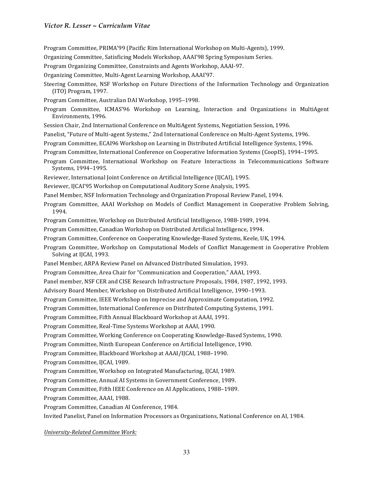Program Committee, PRIMA'99 (Pacific Rim International Workshop on Multi-Agents), 1999.

Organizing Committee, Satisficing Models Workshop, AAAI'98 Spring Symposium Series.

Program Organizing Committee, Constraints and Agents Workshop, AAAI-97.

Organizing Committee, Multi-Agent Learning Workshop, AAAI'97.

- Steering Committee, NSF Workshop on Future Directions of the Information Technology and Organization  $(ITO)$  Program, 1997.
- Program Committee, Australian DAI Workshop, 1995-1998.
- Program Committee, ICMAS'96 Workshop on Learning, Interaction and Organizations in MultiAgent Environments, 1996.
- Session Chair, 2nd International Conference on MultiAgent Systems, Negotiation Session, 1996.

Panelist, "Future of Multi-agent Systems," 2nd International Conference on Multi-Agent Systems, 1996.

Program Committee, ECAI96 Workshop on Learning in Distributed Artificial Intelligence Systems, 1996.

Program Committee, International Conference on Cooperative Information Systems (CoopIS), 1994–1995.

Program Committee, International Workshop on Feature Interactions in Telecommunications Software Systems, 1994-1995.

Reviewer, International Joint Conference on Artificial Intelligence (IJCAI), 1995.

Reviewer, IJCAI'95 Workshop on Computational Auditory Scene Analysis, 1995.

Panel Member, NSF Information Technology and Organization Proposal Review Panel, 1994.

Program Committee, AAAI Workshop on Models of Conflict Management in Cooperative Problem Solving, 1994.

Program Committee, Workshop on Distributed Artificial Intelligence, 1988-1989, 1994.

Program Committee, Canadian Workshop on Distributed Artificial Intelligence, 1994.

- Program Committee, Conference on Cooperating Knowledge-Based Systems, Keele, UK, 1994.
- Program Committee, Workshop on Computational Models of Conflict Management in Cooperative Problem Solving at IJCAI, 1993.
- Panel Member, ARPA Review Panel on Advanced Distributed Simulation, 1993.
- Program Committee, Area Chair for "Communication and Cooperation," AAAI, 1993.

Panel member, NSF CER and CISE Research Infrastructure Proposals, 1984, 1987, 1992, 1993.

Advisory Board Member, Workshop on Distributed Artificial Intelligence, 1990-1993.

Program Committee, IEEE Workshop on Imprecise and Approximate Computation, 1992.

Program Committee, International Conference on Distributed Computing Systems, 1991.

Program Committee, Fifth Annual Blackboard Workshop at AAAI, 1991.

Program Committee, Real-Time Systems Workshop at AAAI, 1990.

Program Committee, Working Conference on Cooperating Knowledge-Based Systems, 1990.

Program Committee, Ninth European Conference on Artificial Intelligence, 1990.

Program Committee, Blackboard Workshop at AAAI/IJCAI, 1988-1990.

Program Committee, IJCAI, 1989.

Program Committee, Workshop on Integrated Manufacturing, IJCAI, 1989.

Program Committee, Annual AI Systems in Government Conference, 1989.

Program Committee, Fifth IEEE Conference on AI Applications, 1988-1989.

Program Committee, AAAI, 1988.

Program Committee, Canadian AI Conference, 1984.

Invited Panelist, Panel on Information Processors as Organizations, National Conference on AI, 1984.

*University-Related Committee Work:*